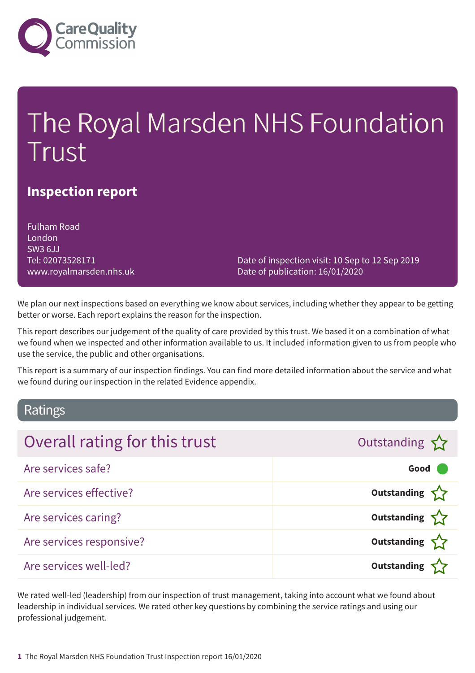

# The Royal Marsden NHS Foundation Trust

### **Inspection report**

Fulham Road London SW3 6JJ Tel: 02073528171 www.royalmarsden.nhs.uk

Date of inspection visit: 10 Sep to 12 Sep 2019 Date of publication: 16/01/2020

We plan our next inspections based on everything we know about services, including whether they appear to be getting better or worse. Each report explains the reason for the inspection.

This report describes our judgement of the quality of care provided by this trust. We based it on a combination of what we found when we inspected and other information available to us. It included information given to us from people who use the service, the public and other organisations.

This report is a summary of our inspection findings. You can find more detailed information about the service and what we found during our inspection in the related Evidence appendix.

### Ratings

| Overall rating for this trust | Outstanding        |
|-------------------------------|--------------------|
| Are services safe?            | Good               |
| Are services effective?       | Outstanding        |
| Are services caring?          | Outstanding $\sum$ |
| Are services responsive?      | Outstanding $\sum$ |
| Are services well-led?        | Outstanding        |

We rated well-led (leadership) from our inspection of trust management, taking into account what we found about leadership in individual services. We rated other key questions by combining the service ratings and using our professional judgement.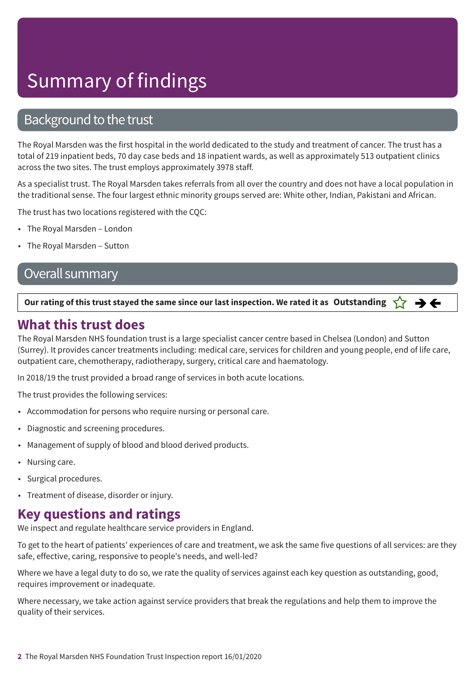### Background to the trust

The Royal Marsden was the first hospital in the world dedicated to the study and treatment of cancer. The trust has a total of 219 inpatient beds, 70 day case beds and 18 inpatient wards, as well as approximately 513 outpatient clinics across the two sites. The trust employs approximately 3978 staff.

As a specialist trust. The Royal Marsden takes referrals from all over the country and does not have a local population in the traditional sense. The four largest ethnic minority groups served are: White other, Indian, Pakistani and African.

The trust has two locations registered with the CQC:

- The Royal Marsden London
- The Royal Marsden Sutton

### Overall summary

#### Our rating of this trust stayed the same since our last inspection. We rated it as Outstanding  $\sum$   $\rightarrow$   $\leftarrow$

### **What this trust does**

The Royal Marsden NHS foundation trust is a large specialist cancer centre based in Chelsea (London) and Sutton (Surrey). It provides cancer treatments including: medical care, services for children and young people, end of life care, outpatient care, chemotherapy, radiotherapy, surgery, critical care and haematology.

In 2018/19 the trust provided a broad range of services in both acute locations.

The trust provides the following services:

- Accommodation for persons who require nursing or personal care.
- Diagnostic and screening procedures.
- Management of supply of blood and blood derived products.
- Nursing care.
- Surgical procedures.
- Treatment of disease, disorder or injury.

### **Key questions and ratings**

We inspect and regulate healthcare service providers in England.

To get to the heart of patients' experiences of care and treatment, we ask the same five questions of all services: are they safe, effective, caring, responsive to people's needs, and well-led?

Where we have a legal duty to do so, we rate the quality of services against each key question as outstanding, good, requires improvement or inadequate.

Where necessary, we take action against service providers that break the regulations and help them to improve the quality of their services.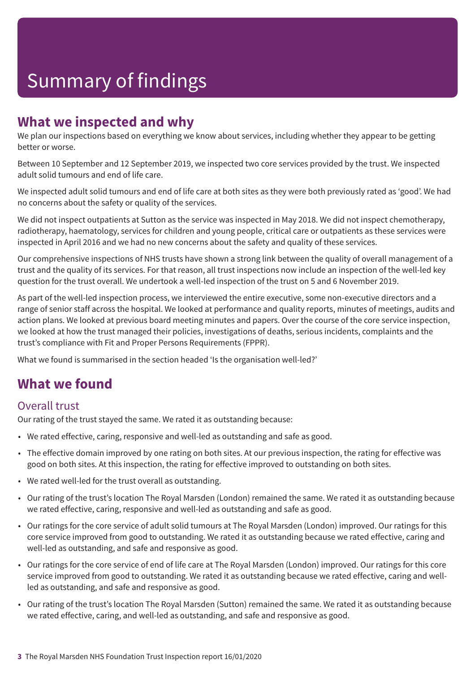### **What we inspected and why**

We plan our inspections based on everything we know about services, including whether they appear to be getting better or worse.

Between 10 September and 12 September 2019, we inspected two core services provided by the trust. We inspected adult solid tumours and end of life care.

We inspected adult solid tumours and end of life care at both sites as they were both previously rated as 'good'. We had no concerns about the safety or quality of the services.

We did not inspect outpatients at Sutton as the service was inspected in May 2018. We did not inspect chemotherapy, radiotherapy, haematology, services for children and young people, critical care or outpatients as these services were inspected in April 2016 and we had no new concerns about the safety and quality of these services.

Our comprehensive inspections of NHS trusts have shown a strong link between the quality of overall management of a trust and the quality of its services. For that reason, all trust inspections now include an inspection of the well-led key question for the trust overall. We undertook a well-led inspection of the trust on 5 and 6 November 2019.

As part of the well-led inspection process, we interviewed the entire executive, some non-executive directors and a range of senior staff across the hospital. We looked at performance and quality reports, minutes of meetings, audits and action plans. We looked at previous board meeting minutes and papers. Over the course of the core service inspection, we looked at how the trust managed their policies, investigations of deaths, serious incidents, complaints and the trust's compliance with Fit and Proper Persons Requirements (FPPR).

What we found is summarised in the section headed 'Is the organisation well-led?'

### **What we found**

### Overall trust

Our rating of the trust stayed the same. We rated it as outstanding because:

- We rated effective, caring, responsive and well-led as outstanding and safe as good.
- The effective domain improved by one rating on both sites. At our previous inspection, the rating for effective was good on both sites. At this inspection, the rating for effective improved to outstanding on both sites.
- We rated well-led for the trust overall as outstanding.
- Our rating of the trust's location The Royal Marsden (London) remained the same. We rated it as outstanding because we rated effective, caring, responsive and well-led as outstanding and safe as good.
- Our ratings for the core service of adult solid tumours at The Royal Marsden (London) improved. Our ratings for this core service improved from good to outstanding. We rated it as outstanding because we rated effective, caring and well-led as outstanding, and safe and responsive as good.
- Our ratings for the core service of end of life care at The Royal Marsden (London) improved. Our ratings for this core service improved from good to outstanding. We rated it as outstanding because we rated effective, caring and wellled as outstanding, and safe and responsive as good.
- Our rating of the trust's location The Royal Marsden (Sutton) remained the same. We rated it as outstanding because we rated effective, caring, and well-led as outstanding, and safe and responsive as good.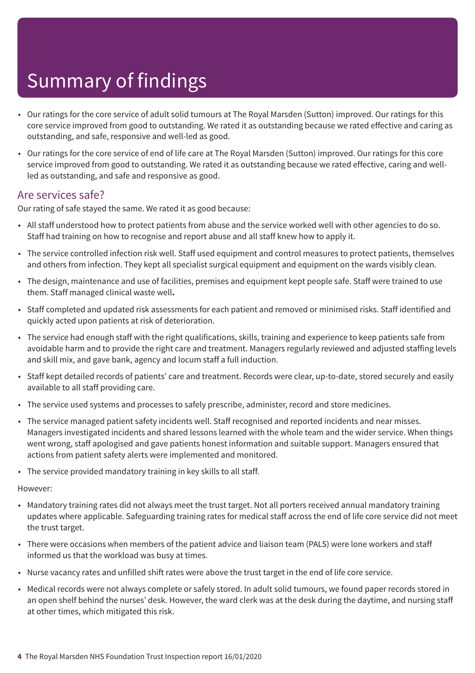- Our ratings for the core service of adult solid tumours at The Royal Marsden (Sutton) improved. Our ratings for this core service improved from good to outstanding. We rated it as outstanding because we rated effective and caring as outstanding, and safe, responsive and well-led as good.
- Our ratings for the core service of end of life care at The Royal Marsden (Sutton) improved. Our ratings for this core service improved from good to outstanding. We rated it as outstanding because we rated effective, caring and wellled as outstanding, and safe and responsive as good.

### Are services safe?

Our rating of safe stayed the same. We rated it as good because:

- All staff understood how to protect patients from abuse and the service worked well with other agencies to do so. Staff had training on how to recognise and report abuse and all staff knew how to apply it.
- The service controlled infection risk well. Staff used equipment and control measures to protect patients, themselves and others from infection. They kept all specialist surgical equipment and equipment on the wards visibly clean.
- The design, maintenance and use of facilities, premises and equipment kept people safe. Staff were trained to use them. Staff managed clinical waste well**.**
- Staff completed and updated risk assessments for each patient and removed or minimised risks. Staff identified and quickly acted upon patients at risk of deterioration.
- The service had enough staff with the right qualifications, skills, training and experience to keep patients safe from avoidable harm and to provide the right care and treatment. Managers regularly reviewed and adjusted staffing levels and skill mix, and gave bank, agency and locum staff a full induction.
- Staff kept detailed records of patients' care and treatment. Records were clear, up-to-date, stored securely and easily available to all staff providing care.
- The service used systems and processes to safely prescribe, administer, record and store medicines.
- The service managed patient safety incidents well. Staff recognised and reported incidents and near misses. Managers investigated incidents and shared lessons learned with the whole team and the wider service. When things went wrong, staff apologised and gave patients honest information and suitable support. Managers ensured that actions from patient safety alerts were implemented and monitored.
- The service provided mandatory training in key skills to all staff.

However:

- Mandatory training rates did not always meet the trust target. Not all porters received annual mandatory training updates where applicable. Safeguarding training rates for medical staff across the end of life core service did not meet the trust target.
- There were occasions when members of the patient advice and liaison team (PALS) were lone workers and staff informed us that the workload was busy at times.
- Nurse vacancy rates and unfilled shift rates were above the trust target in the end of life core service.
- Medical records were not always complete or safely stored. In adult solid tumours, we found paper records stored in an open shelf behind the nurses' desk. However, the ward clerk was at the desk during the daytime, and nursing staff at other times, which mitigated this risk.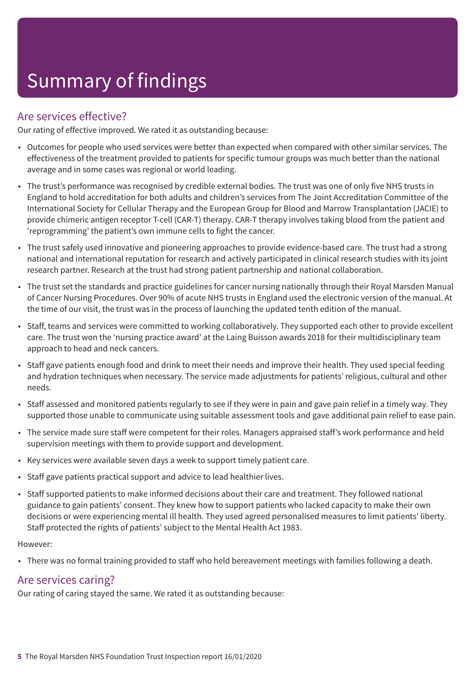### Are services effective?

Our rating of effective improved. We rated it as outstanding because:

- Outcomes for people who used services were better than expected when compared with other similar services. The effectiveness of the treatment provided to patients for specific tumour groups was much better than the national average and in some cases was regional or world leading.
- The trust's performance was recognised by credible external bodies. The trust was one of only five NHS trusts in England to hold accreditation for both adults and children's services from The Joint Accreditation Committee of the International Society for Cellular Therapy and the European Group for Blood and Marrow Transplantation (JACIE) to provide chimeric antigen receptor T-cell (CAR-T) therapy. CAR-T therapy involves taking blood from the patient and 'reprogramming' the patient's own immune cells to fight the cancer.
- The trust safely used innovative and pioneering approaches to provide evidence-based care. The trust had a strong national and international reputation for research and actively participated in clinical research studies with its joint research partner. Research at the trust had strong patient partnership and national collaboration.
- The trust set the standards and practice guidelines for cancer nursing nationally through their Royal Marsden Manual of Cancer Nursing Procedures. Over 90% of acute NHS trusts in England used the electronic version of the manual. At the time of our visit, the trust was in the process of launching the updated tenth edition of the manual.
- Staff, teams and services were committed to working collaboratively. They supported each other to provide excellent care. The trust won the 'nursing practice award' at the Laing Buisson awards 2018 for their multidisciplinary team approach to head and neck cancers.
- Staff gave patients enough food and drink to meet their needs and improve their health. They used special feeding and hydration techniques when necessary. The service made adjustments for patients' religious, cultural and other needs.
- Staff assessed and monitored patients regularly to see if they were in pain and gave pain relief in a timely way. They supported those unable to communicate using suitable assessment tools and gave additional pain relief to ease pain.
- The service made sure staff were competent for their roles. Managers appraised staff's work performance and held supervision meetings with them to provide support and development.
- Key services were available seven days a week to support timely patient care.
- Staff gave patients practical support and advice to lead healthier lives.
- Staff supported patients to make informed decisions about their care and treatment. They followed national guidance to gain patients' consent. They knew how to support patients who lacked capacity to make their own decisions or were experiencing mental ill health. They used agreed personalised measures to limit patients' liberty. Staff protected the rights of patients' subject to the Mental Health Act 1983.

#### However:

• There was no formal training provided to staff who held bereavement meetings with families following a death.

### Are services caring?

Our rating of caring stayed the same. We rated it as outstanding because: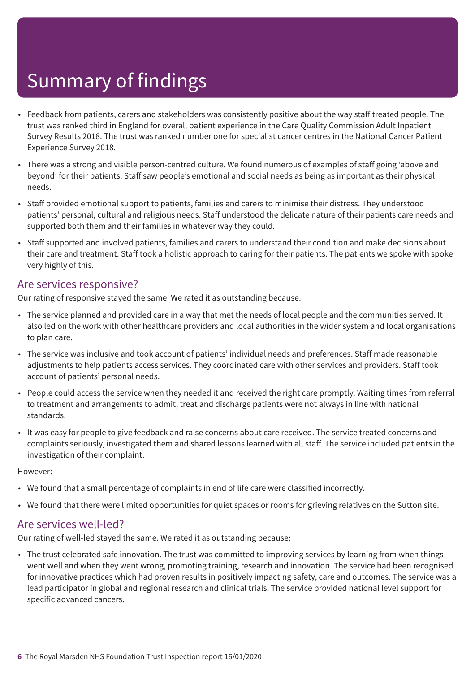- Feedback from patients, carers and stakeholders was consistently positive about the way staff treated people. The trust was ranked third in England for overall patient experience in the Care Quality Commission Adult Inpatient Survey Results 2018. The trust was ranked number one for specialist cancer centres in the National Cancer Patient Experience Survey 2018.
- There was a strong and visible person-centred culture. We found numerous of examples of staff going 'above and beyond' for their patients. Staff saw people's emotional and social needs as being as important as their physical needs.
- Staff provided emotional support to patients, families and carers to minimise their distress. They understood patients' personal, cultural and religious needs. Staff understood the delicate nature of their patients care needs and supported both them and their families in whatever way they could.
- Staff supported and involved patients, families and carers to understand their condition and make decisions about their care and treatment. Staff took a holistic approach to caring for their patients. The patients we spoke with spoke very highly of this.

#### Are services responsive?

Our rating of responsive stayed the same. We rated it as outstanding because:

- The service planned and provided care in a way that met the needs of local people and the communities served. It also led on the work with other healthcare providers and local authorities in the wider system and local organisations to plan care.
- The service was inclusive and took account of patients' individual needs and preferences. Staff made reasonable adjustments to help patients access services. They coordinated care with other services and providers. Staff took account of patients' personal needs.
- People could access the service when they needed it and received the right care promptly. Waiting times from referral to treatment and arrangements to admit, treat and discharge patients were not always in line with national standards.
- It was easy for people to give feedback and raise concerns about care received. The service treated concerns and complaints seriously, investigated them and shared lessons learned with all staff. The service included patients in the investigation of their complaint.

#### However:

- We found that a small percentage of complaints in end of life care were classified incorrectly.
- We found that there were limited opportunities for quiet spaces or rooms for grieving relatives on the Sutton site.

### Are services well-led?

Our rating of well-led stayed the same. We rated it as outstanding because:

• The trust celebrated safe innovation. The trust was committed to improving services by learning from when things went well and when they went wrong, promoting training, research and innovation. The service had been recognised for innovative practices which had proven results in positively impacting safety, care and outcomes. The service was a lead participator in global and regional research and clinical trials. The service provided national level support for specific advanced cancers.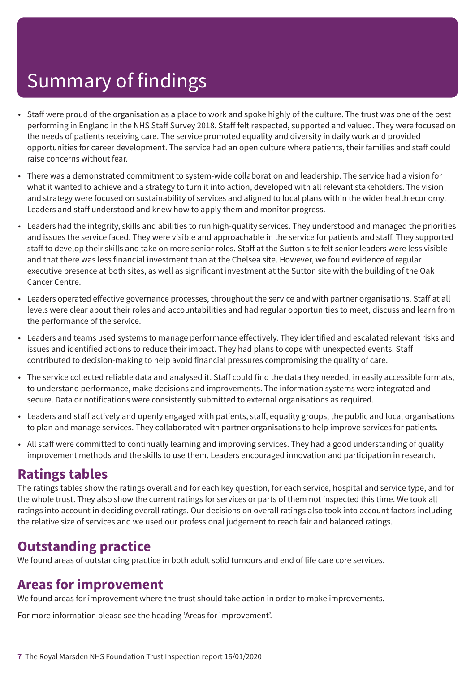- Staff were proud of the organisation as a place to work and spoke highly of the culture. The trust was one of the best performing in England in the NHS Staff Survey 2018. Staff felt respected, supported and valued. They were focused on the needs of patients receiving care. The service promoted equality and diversity in daily work and provided opportunities for career development. The service had an open culture where patients, their families and staff could raise concerns without fear.
- There was a demonstrated commitment to system-wide collaboration and leadership. The service had a vision for what it wanted to achieve and a strategy to turn it into action, developed with all relevant stakeholders. The vision and strategy were focused on sustainability of services and aligned to local plans within the wider health economy. Leaders and staff understood and knew how to apply them and monitor progress.
- Leaders had the integrity, skills and abilities to run high-quality services. They understood and managed the priorities and issues the service faced. They were visible and approachable in the service for patients and staff. They supported staff to develop their skills and take on more senior roles. Staff at the Sutton site felt senior leaders were less visible and that there was less financial investment than at the Chelsea site. However, we found evidence of regular executive presence at both sites, as well as significant investment at the Sutton site with the building of the Oak Cancer Centre.
- Leaders operated effective governance processes, throughout the service and with partner organisations. Staff at all levels were clear about their roles and accountabilities and had regular opportunities to meet, discuss and learn from the performance of the service.
- Leaders and teams used systems to manage performance effectively. They identified and escalated relevant risks and issues and identified actions to reduce their impact. They had plans to cope with unexpected events. Staff contributed to decision-making to help avoid financial pressures compromising the quality of care.
- The service collected reliable data and analysed it. Staff could find the data they needed, in easily accessible formats, to understand performance, make decisions and improvements. The information systems were integrated and secure. Data or notifications were consistently submitted to external organisations as required.
- Leaders and staff actively and openly engaged with patients, staff, equality groups, the public and local organisations to plan and manage services. They collaborated with partner organisations to help improve services for patients.
- All staff were committed to continually learning and improving services. They had a good understanding of quality improvement methods and the skills to use them. Leaders encouraged innovation and participation in research.

### **Ratings tables**

The ratings tables show the ratings overall and for each key question, for each service, hospital and service type, and for the whole trust. They also show the current ratings for services or parts of them not inspected this time. We took all ratings into account in deciding overall ratings. Our decisions on overall ratings also took into account factors including the relative size of services and we used our professional judgement to reach fair and balanced ratings.

### **Outstanding practice**

We found areas of outstanding practice in both adult solid tumours and end of life care core services.

### **Areas for improvement**

We found areas for improvement where the trust should take action in order to make improvements.

For more information please see the heading 'Areas for improvement'.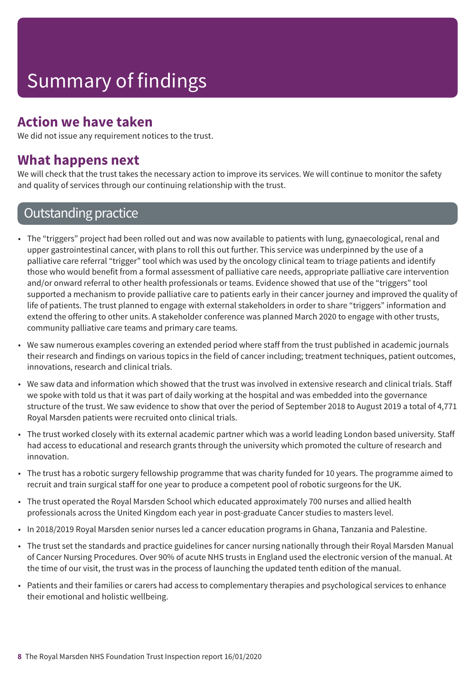### **Action we have taken**

We did not issue any requirement notices to the trust.

### **What happens next**

We will check that the trust takes the necessary action to improve its services. We will continue to monitor the safety and quality of services through our continuing relationship with the trust.

### **Outstanding practice**

- The "triggers" project had been rolled out and was now available to patients with lung, gynaecological, renal and upper gastrointestinal cancer, with plans to roll this out further. This service was underpinned by the use of a palliative care referral "trigger" tool which was used by the oncology clinical team to triage patients and identify those who would benefit from a formal assessment of palliative care needs, appropriate palliative care intervention and/or onward referral to other health professionals or teams. Evidence showed that use of the "triggers" tool supported a mechanism to provide palliative care to patients early in their cancer journey and improved the quality of life of patients. The trust planned to engage with external stakeholders in order to share "triggers" information and extend the offering to other units. A stakeholder conference was planned March 2020 to engage with other trusts, community palliative care teams and primary care teams.
- We saw numerous examples covering an extended period where staff from the trust published in academic journals their research and findings on various topics in the field of cancer including; treatment techniques, patient outcomes, innovations, research and clinical trials.
- We saw data and information which showed that the trust was involved in extensive research and clinical trials. Staff we spoke with told us that it was part of daily working at the hospital and was embedded into the governance structure of the trust. We saw evidence to show that over the period of September 2018 to August 2019 a total of 4,771 Royal Marsden patients were recruited onto clinical trials.
- The trust worked closely with its external academic partner which was a world leading London based university. Staff had access to educational and research grants through the university which promoted the culture of research and innovation.
- The trust has a robotic surgery fellowship programme that was charity funded for 10 years. The programme aimed to recruit and train surgical staff for one year to produce a competent pool of robotic surgeons for the UK.
- The trust operated the Royal Marsden School which educated approximately 700 nurses and allied health professionals across the United Kingdom each year in post-graduate Cancer studies to masters level.
- In 2018/2019 Royal Marsden senior nurses led a cancer education programs in Ghana, Tanzania and Palestine.
- The trust set the standards and practice guidelines for cancer nursing nationally through their Royal Marsden Manual of Cancer Nursing Procedures. Over 90% of acute NHS trusts in England used the electronic version of the manual. At the time of our visit, the trust was in the process of launching the updated tenth edition of the manual.
- Patients and their families or carers had access to complementary therapies and psychological services to enhance their emotional and holistic wellbeing.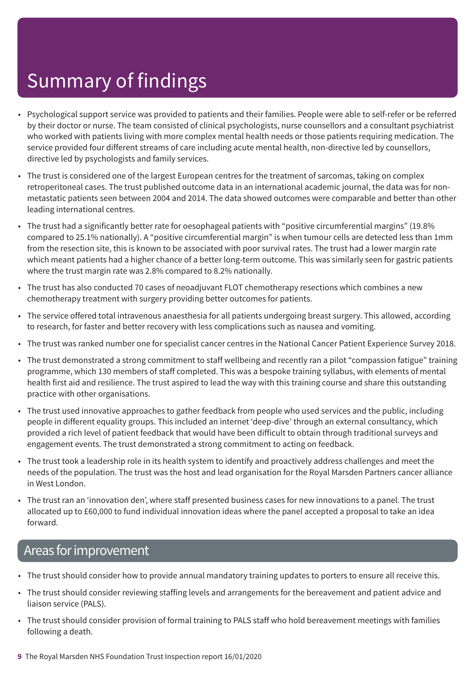- Psychological support service was provided to patients and their families. People were able to self-refer or be referred by their doctor or nurse. The team consisted of clinical psychologists, nurse counsellors and a consultant psychiatrist who worked with patients living with more complex mental health needs or those patients requiring medication. The service provided four different streams of care including acute mental health, non-directive led by counsellors, directive led by psychologists and family services.
- The trust is considered one of the largest European centres for the treatment of sarcomas, taking on complex retroperitoneal cases. The trust published outcome data in an international academic journal, the data was for nonmetastatic patients seen between 2004 and 2014. The data showed outcomes were comparable and better than other leading international centres.
- The trust had a significantly better rate for oesophageal patients with "positive circumferential margins" (19.8% compared to 25.1% nationally). A "positive circumferential margin" is when tumour cells are detected less than 1mm from the resection site, this is known to be associated with poor survival rates. The trust had a lower margin rate which meant patients had a higher chance of a better long-term outcome. This was similarly seen for gastric patients where the trust margin rate was 2.8% compared to 8.2% nationally.
- The trust has also conducted 70 cases of neoadjuvant FLOT chemotherapy resections which combines a new chemotherapy treatment with surgery providing better outcomes for patients.
- The service offered total intravenous anaesthesia for all patients undergoing breast surgery. This allowed, according to research, for faster and better recovery with less complications such as nausea and vomiting.
- The trust was ranked number one for specialist cancer centres in the National Cancer Patient Experience Survey 2018.
- The trust demonstrated a strong commitment to staff wellbeing and recently ran a pilot "compassion fatigue" training programme, which 130 members of staff completed. This was a bespoke training syllabus, with elements of mental health first aid and resilience. The trust aspired to lead the way with this training course and share this outstanding practice with other organisations.
- The trust used innovative approaches to gather feedback from people who used services and the public, including people in different equality groups. This included an internet 'deep-dive' through an external consultancy, which provided a rich level of patient feedback that would have been difficult to obtain through traditional surveys and engagement events. The trust demonstrated a strong commitment to acting on feedback.
- The trust took a leadership role in its health system to identify and proactively address challenges and meet the needs of the population. The trust was the host and lead organisation for the Royal Marsden Partners cancer alliance in West London.
- The trust ran an 'innovation den', where staff presented business cases for new innovations to a panel. The trust allocated up to £60,000 to fund individual innovation ideas where the panel accepted a proposal to take an idea forward.

### Areas for improvement

- The trust should consider how to provide annual mandatory training updates to porters to ensure all receive this.
- The trust should consider reviewing staffing levels and arrangements for the bereavement and patient advice and liaison service (PALS).
- The trust should consider provision of formal training to PALS staff who hold bereavement meetings with families following a death.
- **9** The Royal Marsden NHS Foundation Trust Inspection report 16/01/2020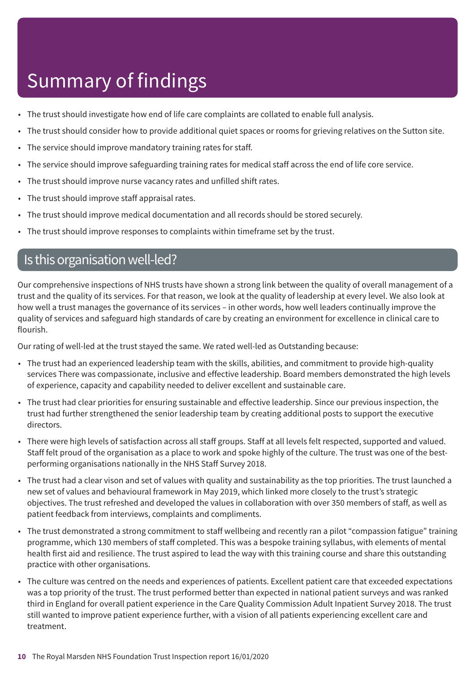- The trust should investigate how end of life care complaints are collated to enable full analysis.
- The trust should consider how to provide additional quiet spaces or rooms for grieving relatives on the Sutton site.
- The service should improve mandatory training rates for staff.
- The service should improve safeguarding training rates for medical staff across the end of life core service.
- The trust should improve nurse vacancy rates and unfilled shift rates.
- The trust should improve staff appraisal rates.
- The trust should improve medical documentation and all records should be stored securely.
- The trust should improve responses to complaints within timeframe set by the trust.

### Is this organisation well-led?

Our comprehensive inspections of NHS trusts have shown a strong link between the quality of overall management of a trust and the quality of its services. For that reason, we look at the quality of leadership at every level. We also look at how well a trust manages the governance of its services – in other words, how well leaders continually improve the quality of services and safeguard high standards of care by creating an environment for excellence in clinical care to flourish.

Our rating of well-led at the trust stayed the same. We rated well-led as Outstanding because:

- The trust had an experienced leadership team with the skills, abilities, and commitment to provide high-quality services There was compassionate, inclusive and effective leadership. Board members demonstrated the high levels of experience, capacity and capability needed to deliver excellent and sustainable care.
- The trust had clear priorities for ensuring sustainable and effective leadership. Since our previous inspection, the trust had further strengthened the senior leadership team by creating additional posts to support the executive directors.
- There were high levels of satisfaction across all staff groups. Staff at all levels felt respected, supported and valued. Staff felt proud of the organisation as a place to work and spoke highly of the culture. The trust was one of the bestperforming organisations nationally in the NHS Staff Survey 2018.
- The trust had a clear vison and set of values with quality and sustainability as the top priorities. The trust launched a new set of values and behavioural framework in May 2019, which linked more closely to the trust's strategic objectives. The trust refreshed and developed the values in collaboration with over 350 members of staff, as well as patient feedback from interviews, complaints and compliments.
- The trust demonstrated a strong commitment to staff wellbeing and recently ran a pilot "compassion fatigue" training programme, which 130 members of staff completed. This was a bespoke training syllabus, with elements of mental health first aid and resilience. The trust aspired to lead the way with this training course and share this outstanding practice with other organisations.
- The culture was centred on the needs and experiences of patients. Excellent patient care that exceeded expectations was a top priority of the trust. The trust performed better than expected in national patient surveys and was ranked third in England for overall patient experience in the Care Quality Commission Adult Inpatient Survey 2018. The trust still wanted to improve patient experience further, with a vision of all patients experiencing excellent care and treatment.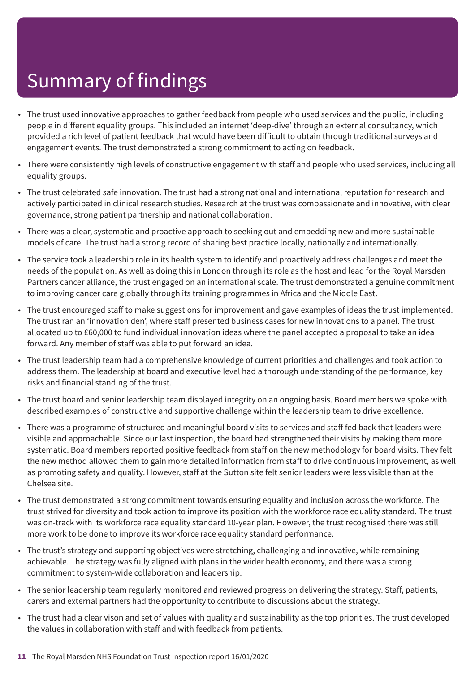- The trust used innovative approaches to gather feedback from people who used services and the public, including people in different equality groups. This included an internet 'deep-dive' through an external consultancy, which provided a rich level of patient feedback that would have been difficult to obtain through traditional surveys and engagement events. The trust demonstrated a strong commitment to acting on feedback.
- There were consistently high levels of constructive engagement with staff and people who used services, including all equality groups.
- The trust celebrated safe innovation. The trust had a strong national and international reputation for research and actively participated in clinical research studies. Research at the trust was compassionate and innovative, with clear governance, strong patient partnership and national collaboration.
- There was a clear, systematic and proactive approach to seeking out and embedding new and more sustainable models of care. The trust had a strong record of sharing best practice locally, nationally and internationally.
- The service took a leadership role in its health system to identify and proactively address challenges and meet the needs of the population. As well as doing this in London through its role as the host and lead for the Royal Marsden Partners cancer alliance, the trust engaged on an international scale. The trust demonstrated a genuine commitment to improving cancer care globally through its training programmes in Africa and the Middle East.
- The trust encouraged staff to make suggestions for improvement and gave examples of ideas the trust implemented. The trust ran an 'innovation den', where staff presented business cases for new innovations to a panel. The trust allocated up to £60,000 to fund individual innovation ideas where the panel accepted a proposal to take an idea forward. Any member of staff was able to put forward an idea.
- The trust leadership team had a comprehensive knowledge of current priorities and challenges and took action to address them. The leadership at board and executive level had a thorough understanding of the performance, key risks and financial standing of the trust.
- The trust board and senior leadership team displayed integrity on an ongoing basis. Board members we spoke with described examples of constructive and supportive challenge within the leadership team to drive excellence.
- There was a programme of structured and meaningful board visits to services and staff fed back that leaders were visible and approachable. Since our last inspection, the board had strengthened their visits by making them more systematic. Board members reported positive feedback from staff on the new methodology for board visits. They felt the new method allowed them to gain more detailed information from staff to drive continuous improvement, as well as promoting safety and quality. However, staff at the Sutton site felt senior leaders were less visible than at the Chelsea site.
- The trust demonstrated a strong commitment towards ensuring equality and inclusion across the workforce. The trust strived for diversity and took action to improve its position with the workforce race equality standard. The trust was on-track with its workforce race equality standard 10-year plan. However, the trust recognised there was still more work to be done to improve its workforce race equality standard performance.
- The trust's strategy and supporting objectives were stretching, challenging and innovative, while remaining achievable. The strategy was fully aligned with plans in the wider health economy, and there was a strong commitment to system-wide collaboration and leadership.
- The senior leadership team regularly monitored and reviewed progress on delivering the strategy. Staff, patients, carers and external partners had the opportunity to contribute to discussions about the strategy.
- The trust had a clear vison and set of values with quality and sustainability as the top priorities. The trust developed the values in collaboration with staff and with feedback from patients.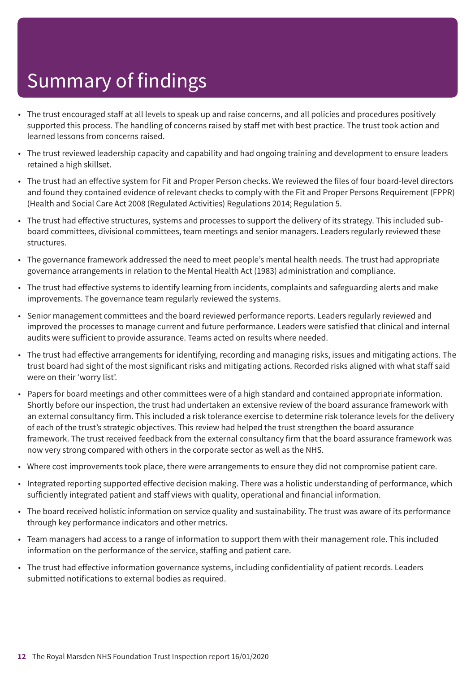- The trust encouraged staff at all levels to speak up and raise concerns, and all policies and procedures positively supported this process. The handling of concerns raised by staff met with best practice. The trust took action and learned lessons from concerns raised.
- The trust reviewed leadership capacity and capability and had ongoing training and development to ensure leaders retained a high skillset.
- The trust had an effective system for Fit and Proper Person checks. We reviewed the files of four board-level directors and found they contained evidence of relevant checks to comply with the Fit and Proper Persons Requirement (FPPR) (Health and Social Care Act 2008 (Regulated Activities) Regulations 2014; Regulation 5.
- The trust had effective structures, systems and processes to support the delivery of its strategy. This included subboard committees, divisional committees, team meetings and senior managers. Leaders regularly reviewed these structures.
- The governance framework addressed the need to meet people's mental health needs. The trust had appropriate governance arrangements in relation to the Mental Health Act (1983) administration and compliance.
- The trust had effective systems to identify learning from incidents, complaints and safeguarding alerts and make improvements. The governance team regularly reviewed the systems.
- Senior management committees and the board reviewed performance reports. Leaders regularly reviewed and improved the processes to manage current and future performance. Leaders were satisfied that clinical and internal audits were sufficient to provide assurance. Teams acted on results where needed.
- The trust had effective arrangements for identifying, recording and managing risks, issues and mitigating actions. The trust board had sight of the most significant risks and mitigating actions. Recorded risks aligned with what staff said were on their 'worry list'.
- Papers for board meetings and other committees were of a high standard and contained appropriate information. Shortly before our inspection, the trust had undertaken an extensive review of the board assurance framework with an external consultancy firm. This included a risk tolerance exercise to determine risk tolerance levels for the delivery of each of the trust's strategic objectives. This review had helped the trust strengthen the board assurance framework. The trust received feedback from the external consultancy firm that the board assurance framework was now very strong compared with others in the corporate sector as well as the NHS.
- Where cost improvements took place, there were arrangements to ensure they did not compromise patient care.
- Integrated reporting supported effective decision making. There was a holistic understanding of performance, which sufficiently integrated patient and staff views with quality, operational and financial information.
- The board received holistic information on service quality and sustainability. The trust was aware of its performance through key performance indicators and other metrics.
- Team managers had access to a range of information to support them with their management role. This included information on the performance of the service, staffing and patient care.
- The trust had effective information governance systems, including confidentiality of patient records. Leaders submitted notifications to external bodies as required.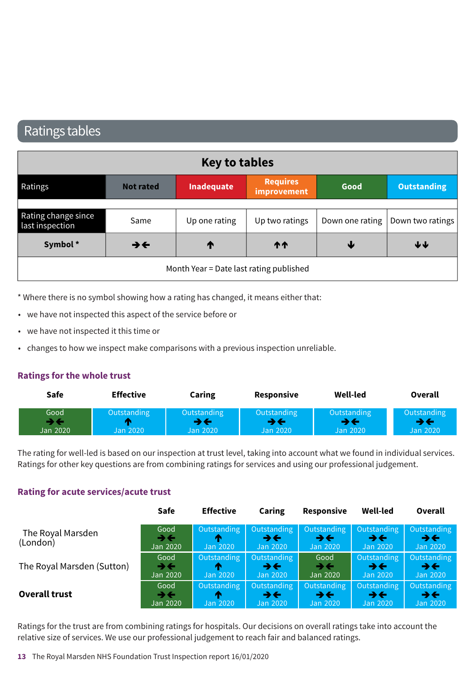### Ratings tables

| Key to tables                          |                          |                                         |                                |      |                                    |  |  |
|----------------------------------------|--------------------------|-----------------------------------------|--------------------------------|------|------------------------------------|--|--|
| Ratings                                | <b>Not rated</b>         | Inadequate                              | <b>Requires</b><br>improvement | Good | <b>Outstanding</b>                 |  |  |
| Rating change since<br>last inspection | Same                     | Up one rating                           | Up two ratings                 |      | Down one rating   Down two ratings |  |  |
| Symbol*                                | $\rightarrow \leftarrow$ | T                                       | <b>11</b>                      | ₩    | ↓↓                                 |  |  |
|                                        |                          | Month Year = Date last rating published |                                |      |                                    |  |  |

\* Where there is no symbol showing how a rating has changed, it means either that:

- we have not inspected this aspect of the service before or
- we have not inspected it this time or
- changes to how we inspect make comparisons with a previous inspection unreliable.

#### **Ratings for the whole trust**

| Safe                                       | <b>Effective</b>               | Caring                  | $\sim$ $\sim$ $\sim$ $\sim$<br><b>Responsive</b> | Well-led                | Overall  |
|--------------------------------------------|--------------------------------|-------------------------|--------------------------------------------------|-------------------------|----------|
| Good<br><b>Service Control</b><br>Jan 2020 | adina<br>Outstandi<br>Jan 2020 | Outstanding<br>lan 2020 | Outstandi<br>Jan 2020                            | Outstanding<br>Jan 2020 | an 2020' |

The rating for well-led is based on our inspection at trust level, taking into account what we found in individual services. Ratings for other key questions are from combining ratings for services and using our professional judgement.

#### **Rating for acute services/acute trust**

|                               | Safe                     | <b>Effective</b> | Caring                                                            | Responsive                           | <b>Well-led</b>                                                       | Overall                                               |
|-------------------------------|--------------------------|------------------|-------------------------------------------------------------------|--------------------------------------|-----------------------------------------------------------------------|-------------------------------------------------------|
| The Royal Marsden<br>(London) | Good<br>→←<br>Jan 2020   | m<br>Jan 2020    | Outstanding   Outstanding<br>$\rightarrow \leftarrow$<br>Jan 2020 | $\rightarrow \leftarrow$<br>Jan 2020 | Outstanding   Outstanding  <br>$\rightarrow$ $\leftarrow$<br>Jan 2020 | Outstanding<br>$\rightarrow$ $\leftarrow$<br>Jan 2020 |
| The Royal Marsden (Sutton)    | Good                     | Outstanding      | Outstanding                                                       | Good                                 | Outstanding                                                           | Outstanding                                           |
|                               | $\rightarrow \leftarrow$ | m                | $\rightarrow$ $\leftarrow$                                        | $\rightarrow$ $\leftarrow$           | →←                                                                    | $\rightarrow$ $\leftarrow$                            |
|                               | Jan 2020                 | Jan 2020         | Jan 2020                                                          | Jan 2020                             | Jan 2020                                                              | Jan 2020                                              |
| <b>Overall trust</b>          | Good                     | Outstanding      | Outstanding                                                       | Outstanding                          | Outstanding                                                           | Outstanding                                           |
|                               | $\rightarrow \leftarrow$ | m                | $\rightarrow \leftarrow$                                          | $\rightarrow \leftarrow$             | →←                                                                    | $\rightarrow$ $\leftarrow$                            |
|                               | Jan 2020                 | Jan 2020         | Jan 2020                                                          | Jan 2020                             | Jan 2020                                                              | Jan 2020                                              |

Ratings for the trust are from combining ratings for hospitals. Our decisions on overall ratings take into account the relative size of services. We use our professional judgement to reach fair and balanced ratings.

**13** The Royal Marsden NHS Foundation Trust Inspection report 16/01/2020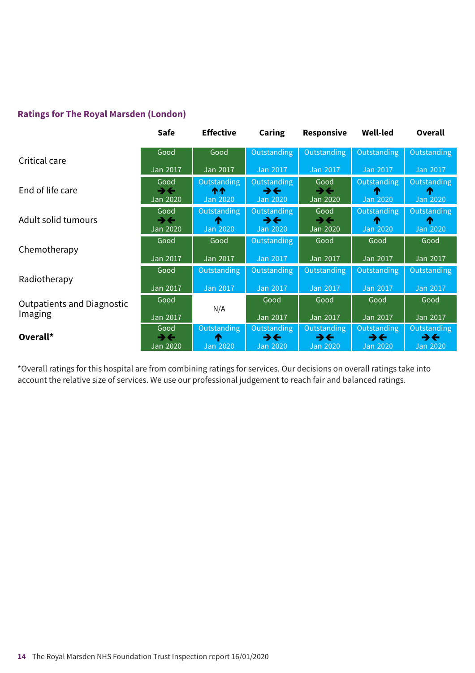#### **Ratings for The Royal Marsden (London)**

|                                   | <b>Safe</b>                                  | <b>Effective</b>              | Caring                                                     | Responsive                                   | <b>Well-led</b>                         | Overall                                 |
|-----------------------------------|----------------------------------------------|-------------------------------|------------------------------------------------------------|----------------------------------------------|-----------------------------------------|-----------------------------------------|
|                                   | Good                                         | Good                          | Outstanding                                                | Outstanding                                  | Outstanding                             | Outstanding                             |
| Critical care                     | Jan 2017                                     | Jan 2017                      | Jan 2017                                                   | <b>Jan 2017</b>                              | Jan 2017                                | Jan 2017                                |
| End of life care                  | Good<br>$\rightarrow \leftarrow$<br>Jan 2020 | Outstanding<br>个个<br>Jan 2020 | Outstanding<br>$\rightarrow \leftarrow$<br>Jan 2020        | Good<br>→←<br>Jan 2020                       | Outstanding<br>Jan 2020                 | Outstanding<br>Jan 2020                 |
| Adult solid tumours               | Good<br>$\rightarrow \leftarrow$<br>Jan 2020 | Outstanding<br>Jan 2020       | Outstanding<br>$\rightarrow \leftarrow$<br><b>Jan 2020</b> | Good<br>$\rightarrow \leftarrow$<br>Jan 2020 | Outstanding<br><b>Jan 2020</b>          | <b>Outstanding</b><br>Jan 2020          |
| Chemotherapy                      | Good                                         | Good                          | Outstanding                                                | Good                                         | Good                                    | Good                                    |
|                                   | Jan 2017                                     | Jan 2017                      | Jan 2017                                                   | Jan 2017                                     | Jan 2017                                | Jan 2017                                |
| Radiotherapy                      | Good                                         | Outstanding                   | Outstanding                                                | Outstanding                                  | Outstanding                             | <b>Outstanding</b>                      |
|                                   | Jan 2017                                     | Jan 2017                      | Jan 2017                                                   | Jan 2017                                     | Jan 2017                                | Jan 2017                                |
| <b>Outpatients and Diagnostic</b> | Good                                         | N/A                           | Good                                                       | Good                                         | Good                                    | Good                                    |
| Imaging                           | Jan 2017                                     |                               | Jan 2017                                                   | Jan 2017                                     | Jan 2017                                | Jan 2017                                |
| Overall*                          | Good<br>$\rightarrow \leftarrow$             | Outstanding<br>Λ              | Outstanding<br>$\rightarrow \leftarrow$                    | Outstanding<br>$\rightarrow \leftarrow$      | Outstanding<br>$\rightarrow \leftarrow$ | Outstanding<br>$\rightarrow \leftarrow$ |
|                                   | Jan 2020                                     | Jan 2020                      | <b>Jan 2020</b>                                            | Jan 2020                                     | <b>Jan 2020</b>                         | Jan 2020                                |

\*Overall ratings for this hospital are from combining ratings for services. Our decisions on overall ratings take into account the relative size of services. We use our professional judgement to reach fair and balanced ratings.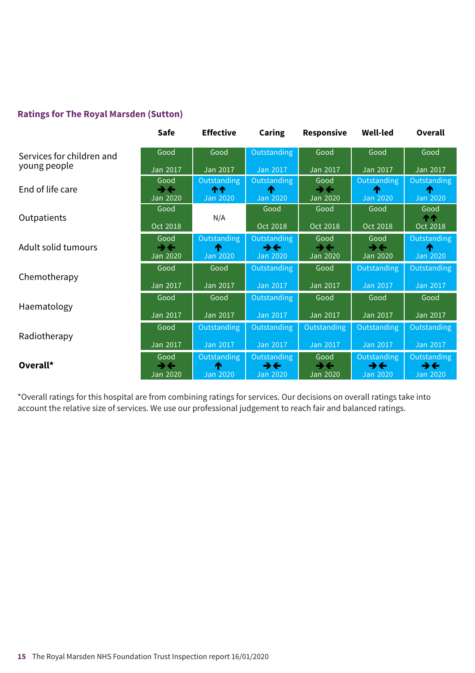#### **Ratings for The Royal Marsden (Sutton)**

|                           | Safe                                         | <b>Effective</b>              | <b>Caring</b>                                              | Responsive                                     | <b>Well-led</b>                                            | Overall                                                    |
|---------------------------|----------------------------------------------|-------------------------------|------------------------------------------------------------|------------------------------------------------|------------------------------------------------------------|------------------------------------------------------------|
| Services for children and | Good                                         | Good                          | Outstanding                                                | Good                                           | Good                                                       | Good                                                       |
| young people              | Jan 2017                                     | Jan 2017                      | Jan 2017                                                   | Jan 2017                                       | Jan 2017                                                   | Jan 2017                                                   |
| End of life care          | Good<br>うそ<br>Jan 2020                       | Outstanding<br>ተተ<br>Jan 2020 | Outstanding<br><b>Jan 2020</b>                             | Good<br>$\rightarrow$<br>Jan 2020              | Outstanding<br>́↑<br>Jan 2020                              | Outstanding<br>T<br><b>Jan 2020</b>                        |
| Outpatients               | Good<br>Oct 2018                             | N/A                           | Good<br>Oct 2018                                           | Good<br>Oct 2018                               | Good<br>Oct 2018                                           | Good<br><b>11</b><br>Oct 2018                              |
| Adult solid tumours       | Good<br>$\rightarrow \leftarrow$<br>Jan 2020 | Outstanding<br>T<br>Jan 2020  | Outstanding<br>$\rightarrow \leftarrow$<br><b>Jan 2020</b> | Good<br>$\rightarrow \leftarrow$<br>Jan 2020   | Good<br>うそ<br>Jan 2020                                     | Outstanding<br>Jan 2020                                    |
| Chemotherapy              | Good<br>Jan 2017                             | Good<br>Jan 2017              | Outstanding<br>Jan 2017                                    | Good<br>Jan 2017                               | Outstanding<br>Jan 2017                                    | Outstanding<br><b>Jan 2017</b>                             |
|                           | Good                                         | Good                          | Outstanding                                                | Good                                           | Good                                                       | Good                                                       |
| Haematology               | Jan 2017                                     | Jan 2017                      | Jan 2017                                                   | Jan 2017                                       | Jan 2017                                                   | Jan 2017                                                   |
|                           | Good                                         | Outstanding                   | Outstanding                                                | Outstanding                                    | Outstanding                                                | Outstanding                                                |
| Radiotherapy              | Jan 2017                                     | Jan 2017                      | Jan 2017                                                   | Jan 2017                                       | <b>Jan 2017</b>                                            | Jan 2017                                                   |
| Overall*                  | Good<br>$\rightarrow \leftarrow$<br>Jan 2020 | Outstanding<br>́↑<br>Jan 2020 | Outstanding<br>$\rightarrow \leftarrow$<br><b>Jan 2020</b> | Good<br>$\rightarrow$ $\leftarrow$<br>Jan 2020 | Outstanding<br>$\rightarrow \leftarrow$<br><b>Jan 2020</b> | <b>Outstanding</b><br>$\rightarrow \leftarrow$<br>Jan 2020 |

\*Overall ratings for this hospital are from combining ratings for services. Our decisions on overall ratings take into account the relative size of services. We use our professional judgement to reach fair and balanced ratings.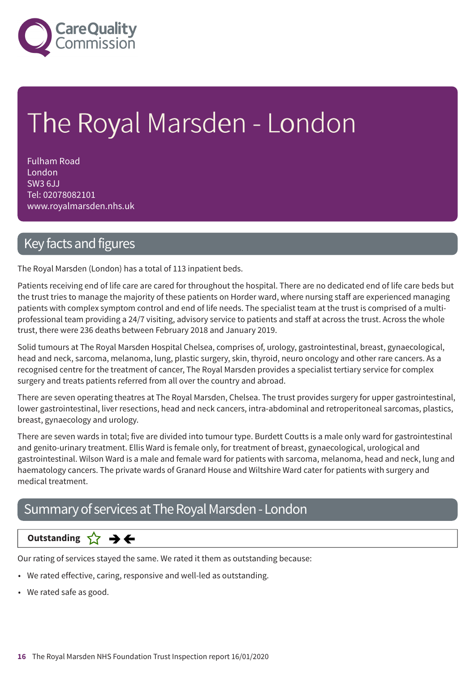

# The Royal Marsden - London

Fulham Road London SW3 6JJ Tel: 02078082101 www.royalmarsden.nhs.uk

### Key facts and figures

The Royal Marsden (London) has a total of 113 inpatient beds.

Patients receiving end of life care are cared for throughout the hospital. There are no dedicated end of life care beds but the trust tries to manage the majority of these patients on Horder ward, where nursing staff are experienced managing patients with complex symptom control and end of life needs. The specialist team at the trust is comprised of a multiprofessional team providing a 24/7 visiting, advisory service to patients and staff at across the trust. Across the whole trust, there were 236 deaths between February 2018 and January 2019.

Solid tumours at The Royal Marsden Hospital Chelsea, comprises of, urology, gastrointestinal, breast, gynaecological, head and neck, sarcoma, melanoma, lung, plastic surgery, skin, thyroid, neuro oncology and other rare cancers. As a recognised centre for the treatment of cancer, The Royal Marsden provides a specialist tertiary service for complex surgery and treats patients referred from all over the country and abroad.

There are seven operating theatres at The Royal Marsden, Chelsea. The trust provides surgery for upper gastrointestinal, lower gastrointestinal, liver resections, head and neck cancers, intra-abdominal and retroperitoneal sarcomas, plastics, breast, gynaecology and urology.

There are seven wards in total; five are divided into tumour type. Burdett Coutts is a male only ward for gastrointestinal and genito-urinary treatment. Ellis Ward is female only, for treatment of breast, gynaecological, urological and gastrointestinal. Wilson Ward is a male and female ward for patients with sarcoma, melanoma, head and neck, lung and haematology cancers. The private wards of Granard House and Wiltshire Ward cater for patients with surgery and medical treatment.

### Summary of services at The Royal Marsden - London

### **Same–––rating Outstanding**

Our rating of services stayed the same. We rated it them as outstanding because:

- We rated effective, caring, responsive and well-led as outstanding.
- We rated safe as good.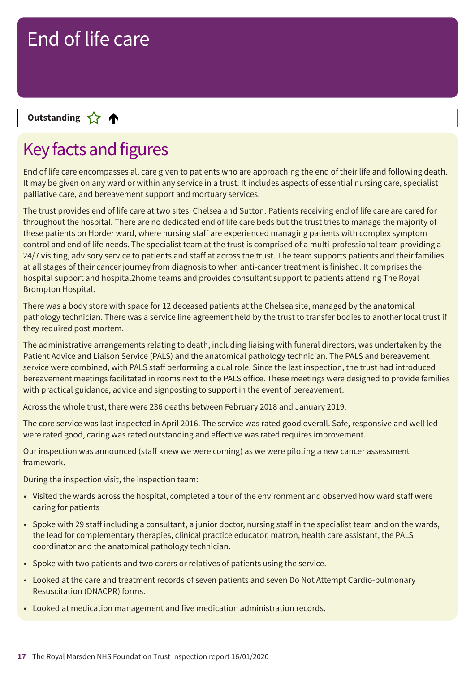### **Letter Cone Extending**

# Key facts and figures

End of life care encompasses all care given to patients who are approaching the end of their life and following death. It may be given on any ward or within any service in a trust. It includes aspects of essential nursing care, specialist palliative care, and bereavement support and mortuary services.

The trust provides end of life care at two sites: Chelsea and Sutton. Patients receiving end of life care are cared for throughout the hospital. There are no dedicated end of life care beds but the trust tries to manage the majority of these patients on Horder ward, where nursing staff are experienced managing patients with complex symptom control and end of life needs. The specialist team at the trust is comprised of a multi-professional team providing a 24/7 visiting, advisory service to patients and staff at across the trust. The team supports patients and their families at all stages of their cancer journey from diagnosis to when anti-cancer treatment is finished. It comprises the hospital support and hospital2home teams and provides consultant support to patients attending The Royal Brompton Hospital.

There was a body store with space for 12 deceased patients at the Chelsea site, managed by the anatomical pathology technician. There was a service line agreement held by the trust to transfer bodies to another local trust if they required post mortem.

The administrative arrangements relating to death, including liaising with funeral directors, was undertaken by the Patient Advice and Liaison Service (PALS) and the anatomical pathology technician. The PALS and bereavement service were combined, with PALS staff performing a dual role. Since the last inspection, the trust had introduced bereavement meetings facilitated in rooms next to the PALS office. These meetings were designed to provide families with practical guidance, advice and signposting to support in the event of bereavement.

Across the whole trust, there were 236 deaths between February 2018 and January 2019.

The core service was last inspected in April 2016. The service was rated good overall. Safe, responsive and well led were rated good, caring was rated outstanding and effective was rated requires improvement.

Our inspection was announced (staff knew we were coming) as we were piloting a new cancer assessment framework.

During the inspection visit, the inspection team:

- Visited the wards across the hospital, completed a tour of the environment and observed how ward staff were caring for patients
- Spoke with 29 staff including a consultant, a junior doctor, nursing staff in the specialist team and on the wards, the lead for complementary therapies, clinical practice educator, matron, health care assistant, the PALS coordinator and the anatomical pathology technician.
- Spoke with two patients and two carers or relatives of patients using the service.
- Looked at the care and treatment records of seven patients and seven Do Not Attempt Cardio-pulmonary Resuscitation (DNACPR) forms.
- Looked at medication management and five medication administration records.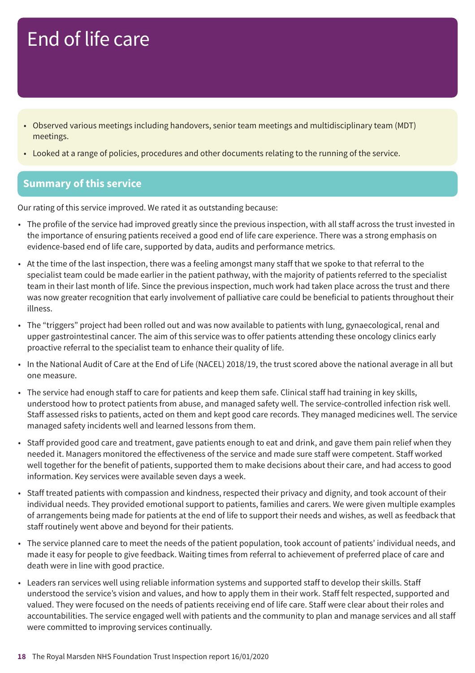- Observed various meetings including handovers, senior team meetings and multidisciplinary team (MDT) meetings.
- Looked at a range of policies, procedures and other documents relating to the running of the service.

### **Summary of this service**

Our rating of this service improved. We rated it as outstanding because:

- The profile of the service had improved greatly since the previous inspection, with all staff across the trust invested in the importance of ensuring patients received a good end of life care experience. There was a strong emphasis on evidence-based end of life care, supported by data, audits and performance metrics.
- At the time of the last inspection, there was a feeling amongst many staff that we spoke to that referral to the specialist team could be made earlier in the patient pathway, with the majority of patients referred to the specialist team in their last month of life. Since the previous inspection, much work had taken place across the trust and there was now greater recognition that early involvement of palliative care could be beneficial to patients throughout their illness.
- The "triggers" project had been rolled out and was now available to patients with lung, gynaecological, renal and upper gastrointestinal cancer. The aim of this service was to offer patients attending these oncology clinics early proactive referral to the specialist team to enhance their quality of life.
- In the National Audit of Care at the End of Life (NACEL) 2018/19, the trust scored above the national average in all but one measure.
- The service had enough staff to care for patients and keep them safe. Clinical staff had training in key skills, understood how to protect patients from abuse, and managed safety well. The service-controlled infection risk well. Staff assessed risks to patients, acted on them and kept good care records. They managed medicines well. The service managed safety incidents well and learned lessons from them.
- Staff provided good care and treatment, gave patients enough to eat and drink, and gave them pain relief when they needed it. Managers monitored the effectiveness of the service and made sure staff were competent. Staff worked well together for the benefit of patients, supported them to make decisions about their care, and had access to good information. Key services were available seven days a week.
- Staff treated patients with compassion and kindness, respected their privacy and dignity, and took account of their individual needs. They provided emotional support to patients, families and carers. We were given multiple examples of arrangements being made for patients at the end of life to support their needs and wishes, as well as feedback that staff routinely went above and beyond for their patients.
- The service planned care to meet the needs of the patient population, took account of patients' individual needs, and made it easy for people to give feedback. Waiting times from referral to achievement of preferred place of care and death were in line with good practice.
- Leaders ran services well using reliable information systems and supported staff to develop their skills. Staff understood the service's vision and values, and how to apply them in their work. Staff felt respected, supported and valued. They were focused on the needs of patients receiving end of life care. Staff were clear about their roles and accountabilities. The service engaged well with patients and the community to plan and manage services and all staff were committed to improving services continually.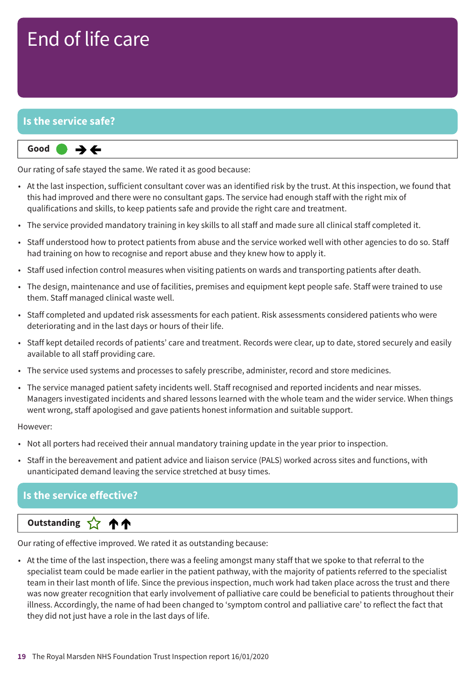### **Is the service safe?**



Our rating of safe stayed the same. We rated it as good because:

- At the last inspection, sufficient consultant cover was an identified risk by the trust. At this inspection, we found that this had improved and there were no consultant gaps. The service had enough staff with the right mix of qualifications and skills, to keep patients safe and provide the right care and treatment.
- The service provided mandatory training in key skills to all staff and made sure all clinical staff completed it.
- Staff understood how to protect patients from abuse and the service worked well with other agencies to do so. Staff had training on how to recognise and report abuse and they knew how to apply it.
- Staff used infection control measures when visiting patients on wards and transporting patients after death.
- The design, maintenance and use of facilities, premises and equipment kept people safe. Staff were trained to use them. Staff managed clinical waste well.
- Staff completed and updated risk assessments for each patient. Risk assessments considered patients who were deteriorating and in the last days or hours of their life.
- Staff kept detailed records of patients' care and treatment. Records were clear, up to date, stored securely and easily available to all staff providing care.
- The service used systems and processes to safely prescribe, administer, record and store medicines.
- The service managed patient safety incidents well. Staff recognised and reported incidents and near misses. Managers investigated incidents and shared lessons learned with the whole team and the wider service. When things went wrong, staff apologised and gave patients honest information and suitable support.

#### However:

- Not all porters had received their annual mandatory training update in the year prior to inspection.
- Staff in the bereavement and patient advice and liaison service (PALS) worked across sites and functions, with unanticipated demand leaving the service stretched at busy times.

### **Is the service effective?**

#### **Up––– two ratings Outstanding** ጥጥ

Our rating of effective improved. We rated it as outstanding because:

• At the time of the last inspection, there was a feeling amongst many staff that we spoke to that referral to the specialist team could be made earlier in the patient pathway, with the majority of patients referred to the specialist team in their last month of life. Since the previous inspection, much work had taken place across the trust and there was now greater recognition that early involvement of palliative care could be beneficial to patients throughout their illness. Accordingly, the name of had been changed to 'symptom control and palliative care' to reflect the fact that they did not just have a role in the last days of life.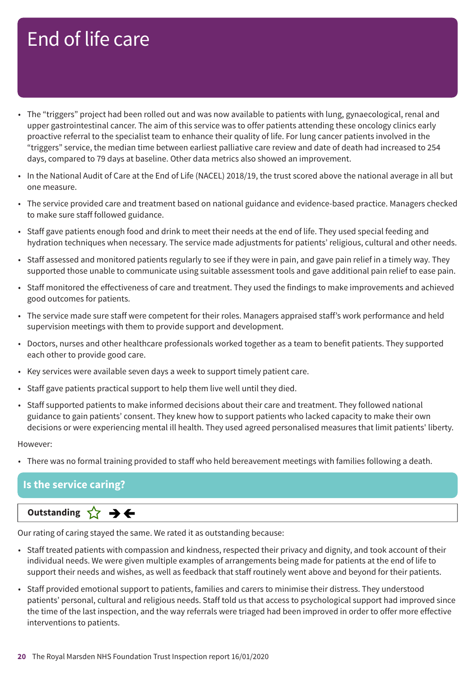- The "triggers" project had been rolled out and was now available to patients with lung, gynaecological, renal and upper gastrointestinal cancer. The aim of this service was to offer patients attending these oncology clinics early proactive referral to the specialist team to enhance their quality of life. For lung cancer patients involved in the "triggers" service, the median time between earliest palliative care review and date of death had increased to 254 days, compared to 79 days at baseline. Other data metrics also showed an improvement.
- In the National Audit of Care at the End of Life (NACEL) 2018/19, the trust scored above the national average in all but one measure.
- The service provided care and treatment based on national guidance and evidence-based practice. Managers checked to make sure staff followed guidance.
- Staff gave patients enough food and drink to meet their needs at the end of life. They used special feeding and hydration techniques when necessary. The service made adjustments for patients' religious, cultural and other needs.
- Staff assessed and monitored patients regularly to see if they were in pain, and gave pain relief in a timely way. They supported those unable to communicate using suitable assessment tools and gave additional pain relief to ease pain.
- Staff monitored the effectiveness of care and treatment. They used the findings to make improvements and achieved good outcomes for patients.
- The service made sure staff were competent for their roles. Managers appraised staff's work performance and held supervision meetings with them to provide support and development.
- Doctors, nurses and other healthcare professionals worked together as a team to benefit patients. They supported each other to provide good care.
- Key services were available seven days a week to support timely patient care.
- Staff gave patients practical support to help them live well until they died.
- Staff supported patients to make informed decisions about their care and treatment. They followed national guidance to gain patients' consent. They knew how to support patients who lacked capacity to make their own decisions or were experiencing mental ill health. They used agreed personalised measures that limit patients' liberty.

#### However:

• There was no formal training provided to staff who held bereavement meetings with families following a death.

#### **Is the service caring?**

### **Same–––rating Outstanding**

Our rating of caring stayed the same. We rated it as outstanding because:

- Staff treated patients with compassion and kindness, respected their privacy and dignity, and took account of their individual needs. We were given multiple examples of arrangements being made for patients at the end of life to support their needs and wishes, as well as feedback that staff routinely went above and beyond for their patients.
- Staff provided emotional support to patients, families and carers to minimise their distress. They understood patients' personal, cultural and religious needs. Staff told us that access to psychological support had improved since the time of the last inspection, and the way referrals were triaged had been improved in order to offer more effective interventions to patients.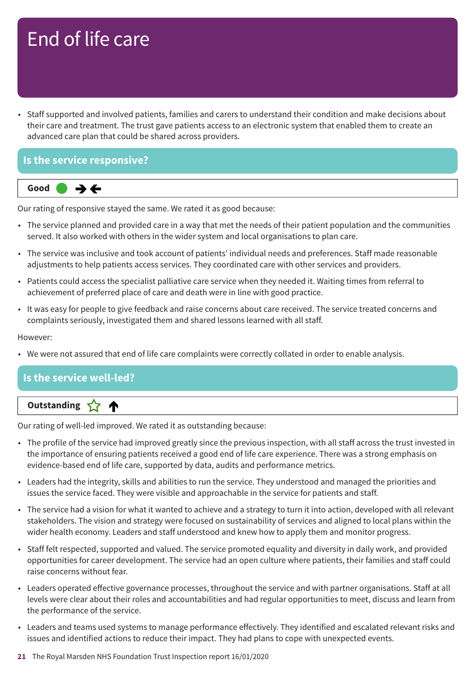• Staff supported and involved patients, families and carers to understand their condition and make decisions about their care and treatment. The trust gave patients access to an electronic system that enabled them to create an advanced care plan that could be shared across providers.

### **Is the service responsive?**



Our rating of responsive stayed the same. We rated it as good because:

- The service planned and provided care in a way that met the needs of their patient population and the communities served. It also worked with others in the wider system and local organisations to plan care.
- The service was inclusive and took account of patients' individual needs and preferences. Staff made reasonable adjustments to help patients access services. They coordinated care with other services and providers.
- Patients could access the specialist palliative care service when they needed it. Waiting times from referral to achievement of preferred place of care and death were in line with good practice.
- It was easy for people to give feedback and raise concerns about care received. The service treated concerns and complaints seriously, investigated them and shared lessons learned with all staff.

#### However:

• We were not assured that end of life care complaints were correctly collated in order to enable analysis.

### **Is the service well-led?**

### **Letter Cone Extending**

Our rating of well-led improved. We rated it as outstanding because:

- The profile of the service had improved greatly since the previous inspection, with all staff across the trust invested in the importance of ensuring patients received a good end of life care experience. There was a strong emphasis on evidence-based end of life care, supported by data, audits and performance metrics.
- Leaders had the integrity, skills and abilities to run the service. They understood and managed the priorities and issues the service faced. They were visible and approachable in the service for patients and staff.
- The service had a vision for what it wanted to achieve and a strategy to turn it into action, developed with all relevant stakeholders. The vision and strategy were focused on sustainability of services and aligned to local plans within the wider health economy. Leaders and staff understood and knew how to apply them and monitor progress.
- Staff felt respected, supported and valued. The service promoted equality and diversity in daily work, and provided opportunities for career development. The service had an open culture where patients, their families and staff could raise concerns without fear.
- Leaders operated effective governance processes, throughout the service and with partner organisations. Staff at all levels were clear about their roles and accountabilities and had regular opportunities to meet, discuss and learn from the performance of the service.
- Leaders and teams used systems to manage performance effectively. They identified and escalated relevant risks and issues and identified actions to reduce their impact. They had plans to cope with unexpected events.
- **21** The Royal Marsden NHS Foundation Trust Inspection report 16/01/2020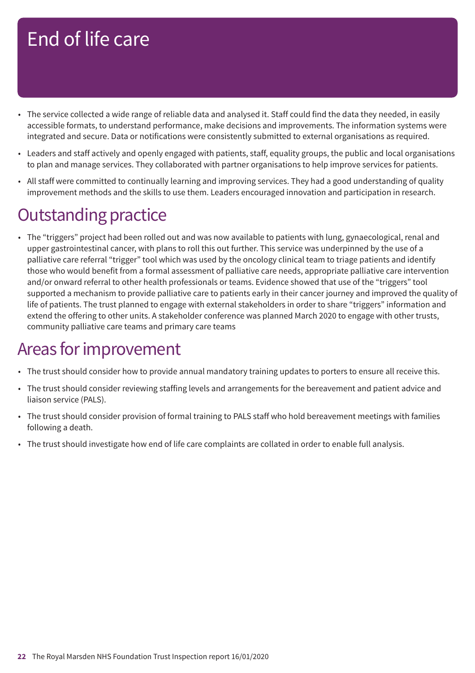- The service collected a wide range of reliable data and analysed it. Staff could find the data they needed, in easily accessible formats, to understand performance, make decisions and improvements. The information systems were integrated and secure. Data or notifications were consistently submitted to external organisations as required.
- Leaders and staff actively and openly engaged with patients, staff, equality groups, the public and local organisations to plan and manage services. They collaborated with partner organisations to help improve services for patients.
- All staff were committed to continually learning and improving services. They had a good understanding of quality improvement methods and the skills to use them. Leaders encouraged innovation and participation in research.

### **Outstanding practice**

• The "triggers" project had been rolled out and was now available to patients with lung, gynaecological, renal and upper gastrointestinal cancer, with plans to roll this out further. This service was underpinned by the use of a palliative care referral "trigger" tool which was used by the oncology clinical team to triage patients and identify those who would benefit from a formal assessment of palliative care needs, appropriate palliative care intervention and/or onward referral to other health professionals or teams. Evidence showed that use of the "triggers" tool supported a mechanism to provide palliative care to patients early in their cancer journey and improved the quality of life of patients. The trust planned to engage with external stakeholders in order to share "triggers" information and extend the offering to other units. A stakeholder conference was planned March 2020 to engage with other trusts, community palliative care teams and primary care teams

### Areas for improvement

- The trust should consider how to provide annual mandatory training updates to porters to ensure all receive this.
- The trust should consider reviewing staffing levels and arrangements for the bereavement and patient advice and liaison service (PALS).
- The trust should consider provision of formal training to PALS staff who hold bereavement meetings with families following a death.
- The trust should investigate how end of life care complaints are collated in order to enable full analysis.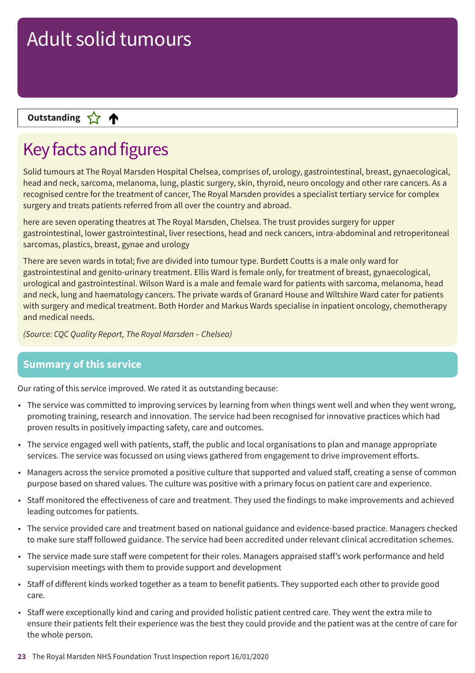### **Letter Cone Extending**

# Key facts and figures

Solid tumours at The Royal Marsden Hospital Chelsea, comprises of, urology, gastrointestinal, breast, gynaecological, head and neck, sarcoma, melanoma, lung, plastic surgery, skin, thyroid, neuro oncology and other rare cancers. As a recognised centre for the treatment of cancer, The Royal Marsden provides a specialist tertiary service for complex surgery and treats patients referred from all over the country and abroad.

here are seven operating theatres at The Royal Marsden, Chelsea. The trust provides surgery for upper gastrointestinal, lower gastrointestinal, liver resections, head and neck cancers, intra-abdominal and retroperitoneal sarcomas, plastics, breast, gynae and urology

There are seven wards in total; five are divided into tumour type. Burdett Coutts is a male only ward for gastrointestinal and genito-urinary treatment. Ellis Ward is female only, for treatment of breast, gynaecological, urological and gastrointestinal. Wilson Ward is a male and female ward for patients with sarcoma, melanoma, head and neck, lung and haematology cancers. The private wards of Granard House and Wiltshire Ward cater for patients with surgery and medical treatment. Both Horder and Markus Wards specialise in inpatient oncology, chemotherapy and medical needs.

*(Source: CQC Quality Report, The Royal Marsden – Chelsea)*

### **Summary of this service**

Our rating of this service improved. We rated it as outstanding because:

- The service was committed to improving services by learning from when things went well and when they went wrong, promoting training, research and innovation. The service had been recognised for innovative practices which had proven results in positively impacting safety, care and outcomes.
- The service engaged well with patients, staff, the public and local organisations to plan and manage appropriate services. The service was focussed on using views gathered from engagement to drive improvement efforts.
- Managers across the service promoted a positive culture that supported and valued staff, creating a sense of common purpose based on shared values. The culture was positive with a primary focus on patient care and experience.
- Staff monitored the effectiveness of care and treatment. They used the findings to make improvements and achieved leading outcomes for patients.
- The service provided care and treatment based on national guidance and evidence-based practice. Managers checked to make sure staff followed guidance. The service had been accredited under relevant clinical accreditation schemes.
- The service made sure staff were competent for their roles. Managers appraised staff's work performance and held supervision meetings with them to provide support and development
- Staff of different kinds worked together as a team to benefit patients. They supported each other to provide good care.
- Staff were exceptionally kind and caring and provided holistic patient centred care. They went the extra mile to ensure their patients felt their experience was the best they could provide and the patient was at the centre of care for the whole person.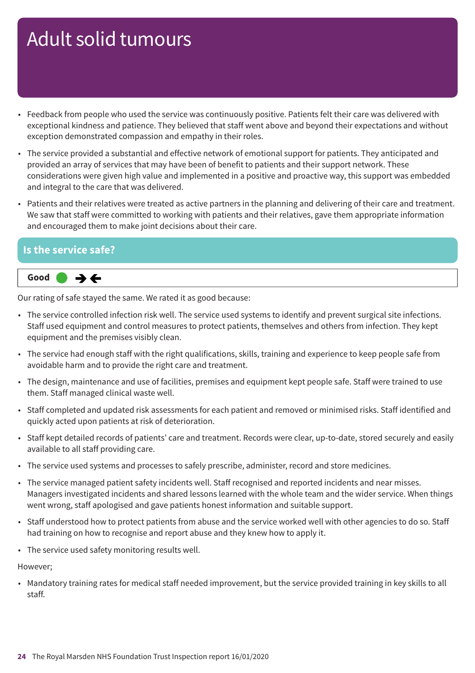- Feedback from people who used the service was continuously positive. Patients felt their care was delivered with exceptional kindness and patience. They believed that staff went above and beyond their expectations and without exception demonstrated compassion and empathy in their roles.
- The service provided a substantial and effective network of emotional support for patients. They anticipated and provided an array of services that may have been of benefit to patients and their support network. These considerations were given high value and implemented in a positive and proactive way, this support was embedded and integral to the care that was delivered.
- Patients and their relatives were treated as active partners in the planning and delivering of their care and treatment. We saw that staff were committed to working with patients and their relatives, gave them appropriate information and encouraged them to make joint decisions about their care.

#### **Is the service safe?**



Our rating of safe stayed the same. We rated it as good because:

- The service controlled infection risk well. The service used systems to identify and prevent surgical site infections. Staff used equipment and control measures to protect patients, themselves and others from infection. They kept equipment and the premises visibly clean.
- The service had enough staff with the right qualifications, skills, training and experience to keep people safe from avoidable harm and to provide the right care and treatment.
- The design, maintenance and use of facilities, premises and equipment kept people safe. Staff were trained to use them. Staff managed clinical waste well.
- Staff completed and updated risk assessments for each patient and removed or minimised risks. Staff identified and quickly acted upon patients at risk of deterioration.
- Staff kept detailed records of patients' care and treatment. Records were clear, up-to-date, stored securely and easily available to all staff providing care.
- The service used systems and processes to safely prescribe, administer, record and store medicines.
- The service managed patient safety incidents well. Staff recognised and reported incidents and near misses. Managers investigated incidents and shared lessons learned with the whole team and the wider service. When things went wrong, staff apologised and gave patients honest information and suitable support.
- Staff understood how to protect patients from abuse and the service worked well with other agencies to do so. Staff had training on how to recognise and report abuse and they knew how to apply it.
- The service used safety monitoring results well.

However;

• Mandatory training rates for medical staff needed improvement, but the service provided training in key skills to all staff.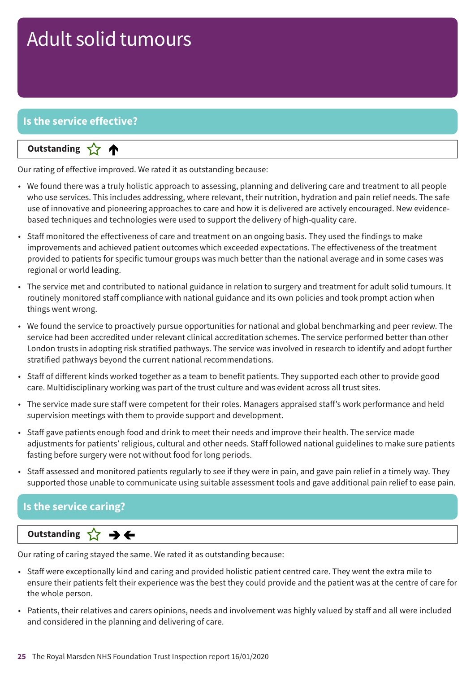### **Is the service effective?**

#### **Letter Cone Extending**

Our rating of effective improved. We rated it as outstanding because:

- We found there was a truly holistic approach to assessing, planning and delivering care and treatment to all people who use services. This includes addressing, where relevant, their nutrition, hydration and pain relief needs. The safe use of innovative and pioneering approaches to care and how it is delivered are actively encouraged. New evidencebased techniques and technologies were used to support the delivery of high-quality care.
- Staff monitored the effectiveness of care and treatment on an ongoing basis. They used the findings to make improvements and achieved patient outcomes which exceeded expectations. The effectiveness of the treatment provided to patients for specific tumour groups was much better than the national average and in some cases was regional or world leading.
- The service met and contributed to national guidance in relation to surgery and treatment for adult solid tumours. It routinely monitored staff compliance with national guidance and its own policies and took prompt action when things went wrong.
- We found the service to proactively pursue opportunities for national and global benchmarking and peer review. The service had been accredited under relevant clinical accreditation schemes. The service performed better than other London trusts in adopting risk stratified pathways. The service was involved in research to identify and adopt further stratified pathways beyond the current national recommendations.
- Staff of different kinds worked together as a team to benefit patients. They supported each other to provide good care. Multidisciplinary working was part of the trust culture and was evident across all trust sites.
- The service made sure staff were competent for their roles. Managers appraised staff's work performance and held supervision meetings with them to provide support and development.
- Staff gave patients enough food and drink to meet their needs and improve their health. The service made adjustments for patients' religious, cultural and other needs. Staff followed national guidelines to make sure patients fasting before surgery were not without food for long periods.
- Staff assessed and monitored patients regularly to see if they were in pain, and gave pain relief in a timely way. They supported those unable to communicate using suitable assessment tools and gave additional pain relief to ease pain.

### **Is the service caring?**

**Same–––rating Outstanding**

Our rating of caring stayed the same. We rated it as outstanding because:

- Staff were exceptionally kind and caring and provided holistic patient centred care. They went the extra mile to ensure their patients felt their experience was the best they could provide and the patient was at the centre of care for the whole person.
- Patients, their relatives and carers opinions, needs and involvement was highly valued by staff and all were included and considered in the planning and delivering of care.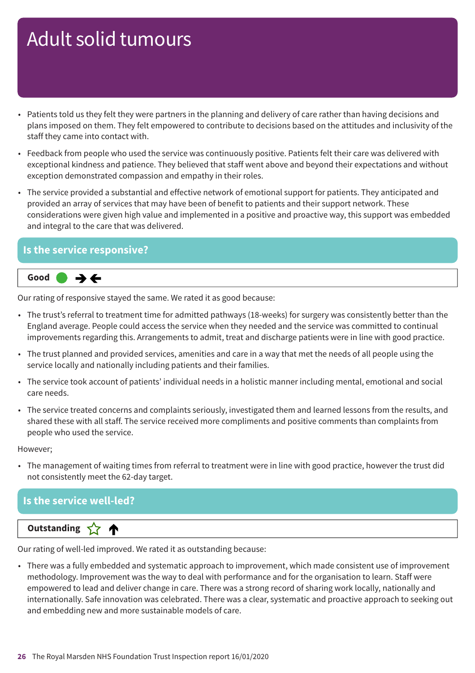- Patients told us they felt they were partners in the planning and delivery of care rather than having decisions and plans imposed on them. They felt empowered to contribute to decisions based on the attitudes and inclusivity of the staff they came into contact with.
- Feedback from people who used the service was continuously positive. Patients felt their care was delivered with exceptional kindness and patience. They believed that staff went above and beyond their expectations and without exception demonstrated compassion and empathy in their roles.
- The service provided a substantial and effective network of emotional support for patients. They anticipated and provided an array of services that may have been of benefit to patients and their support network. These considerations were given high value and implemented in a positive and proactive way, this support was embedded and integral to the care that was delivered.

#### **Is the service responsive?**



Our rating of responsive stayed the same. We rated it as good because:

- The trust's referral to treatment time for admitted pathways (18-weeks) for surgery was consistently better than the England average. People could access the service when they needed and the service was committed to continual improvements regarding this. Arrangements to admit, treat and discharge patients were in line with good practice.
- The trust planned and provided services, amenities and care in a way that met the needs of all people using the service locally and nationally including patients and their families.
- The service took account of patients' individual needs in a holistic manner including mental, emotional and social care needs.
- The service treated concerns and complaints seriously, investigated them and learned lessons from the results, and shared these with all staff. The service received more compliments and positive comments than complaints from people who used the service.

However;

• The management of waiting times from referral to treatment were in line with good practice, however the trust did not consistently meet the 62-day target.

### **Is the service well-led?**

#### **Letter Cone Extending**

Our rating of well-led improved. We rated it as outstanding because:

• There was a fully embedded and systematic approach to improvement, which made consistent use of improvement methodology. Improvement was the way to deal with performance and for the organisation to learn. Staff were empowered to lead and deliver change in care. There was a strong record of sharing work locally, nationally and internationally. Safe innovation was celebrated. There was a clear, systematic and proactive approach to seeking out and embedding new and more sustainable models of care.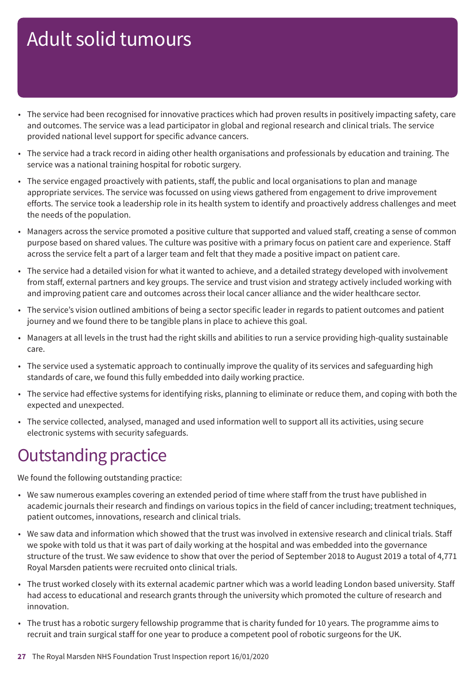- The service had been recognised for innovative practices which had proven results in positively impacting safety, care and outcomes. The service was a lead participator in global and regional research and clinical trials. The service provided national level support for specific advance cancers.
- The service had a track record in aiding other health organisations and professionals by education and training. The service was a national training hospital for robotic surgery.
- The service engaged proactively with patients, staff, the public and local organisations to plan and manage appropriate services. The service was focussed on using views gathered from engagement to drive improvement efforts. The service took a leadership role in its health system to identify and proactively address challenges and meet the needs of the population.
- Managers across the service promoted a positive culture that supported and valued staff, creating a sense of common purpose based on shared values. The culture was positive with a primary focus on patient care and experience. Staff across the service felt a part of a larger team and felt that they made a positive impact on patient care.
- The service had a detailed vision for what it wanted to achieve, and a detailed strategy developed with involvement from staff, external partners and key groups. The service and trust vision and strategy actively included working with and improving patient care and outcomes across their local cancer alliance and the wider healthcare sector.
- The service's vision outlined ambitions of being a sector specific leader in regards to patient outcomes and patient journey and we found there to be tangible plans in place to achieve this goal.
- Managers at all levels in the trust had the right skills and abilities to run a service providing high-quality sustainable care.
- The service used a systematic approach to continually improve the quality of its services and safeguarding high standards of care, we found this fully embedded into daily working practice.
- The service had effective systems for identifying risks, planning to eliminate or reduce them, and coping with both the expected and unexpected.
- The service collected, analysed, managed and used information well to support all its activities, using secure electronic systems with security safeguards.

### **Outstanding practice**

We found the following outstanding practice:

- We saw numerous examples covering an extended period of time where staff from the trust have published in academic journals their research and findings on various topics in the field of cancer including; treatment techniques, patient outcomes, innovations, research and clinical trials.
- We saw data and information which showed that the trust was involved in extensive research and clinical trials. Staff we spoke with told us that it was part of daily working at the hospital and was embedded into the governance structure of the trust. We saw evidence to show that over the period of September 2018 to August 2019 a total of 4,771 Royal Marsden patients were recruited onto clinical trials.
- The trust worked closely with its external academic partner which was a world leading London based university. Staff had access to educational and research grants through the university which promoted the culture of research and innovation.
- The trust has a robotic surgery fellowship programme that is charity funded for 10 years. The programme aims to recruit and train surgical staff for one year to produce a competent pool of robotic surgeons for the UK.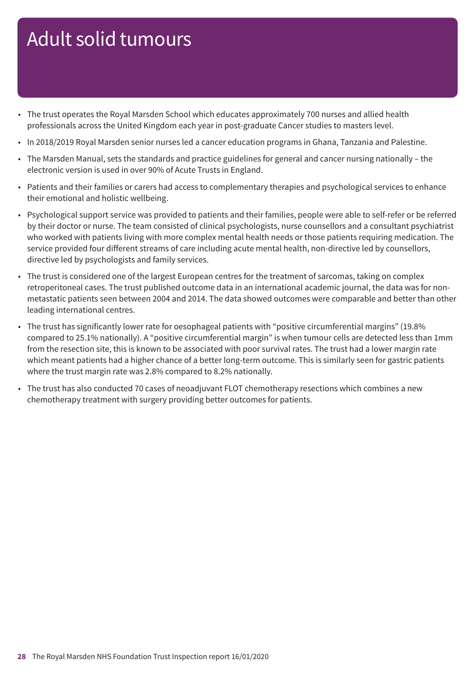- The trust operates the Royal Marsden School which educates approximately 700 nurses and allied health professionals across the United Kingdom each year in post-graduate Cancer studies to masters level.
- In 2018/2019 Royal Marsden senior nurses led a cancer education programs in Ghana, Tanzania and Palestine.
- The Marsden Manual, sets the standards and practice guidelines for general and cancer nursing nationally the electronic version is used in over 90% of Acute Trusts in England.
- Patients and their families or carers had access to complementary therapies and psychological services to enhance their emotional and holistic wellbeing.
- Psychological support service was provided to patients and their families, people were able to self-refer or be referred by their doctor or nurse. The team consisted of clinical psychologists, nurse counsellors and a consultant psychiatrist who worked with patients living with more complex mental health needs or those patients requiring medication. The service provided four different streams of care including acute mental health, non-directive led by counsellors, directive led by psychologists and family services.
- The trust is considered one of the largest European centres for the treatment of sarcomas, taking on complex retroperitoneal cases. The trust published outcome data in an international academic journal, the data was for nonmetastatic patients seen between 2004 and 2014. The data showed outcomes were comparable and better than other leading international centres.
- The trust has significantly lower rate for oesophageal patients with "positive circumferential margins" (19.8% compared to 25.1% nationally). A "positive circumferential margin" is when tumour cells are detected less than 1mm from the resection site, this is known to be associated with poor survival rates. The trust had a lower margin rate which meant patients had a higher chance of a better long-term outcome. This is similarly seen for gastric patients where the trust margin rate was 2.8% compared to 8.2% nationally.
- The trust has also conducted 70 cases of neoadjuvant FLOT chemotherapy resections which combines a new chemotherapy treatment with surgery providing better outcomes for patients.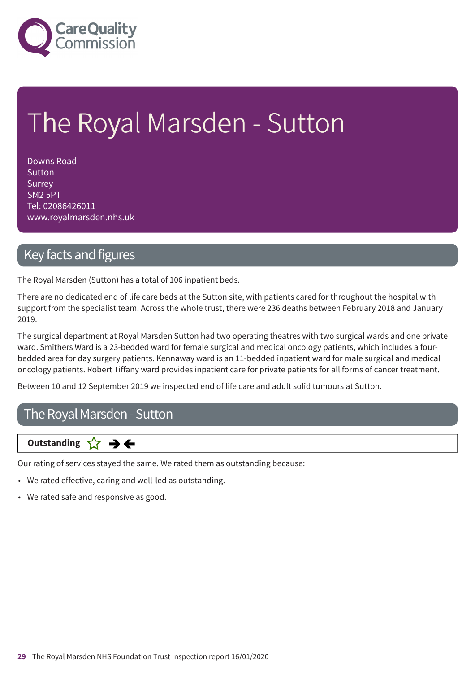

# The Royal Marsden - Sutton

Downs Road Sutton Surrey SM2 5PT Tel: 02086426011 www.royalmarsden.nhs.uk

### Key facts and figures

The Royal Marsden (Sutton) has a total of 106 inpatient beds.

There are no dedicated end of life care beds at the Sutton site, with patients cared for throughout the hospital with support from the specialist team. Across the whole trust, there were 236 deaths between February 2018 and January 2019.

The surgical department at Royal Marsden Sutton had two operating theatres with two surgical wards and one private ward. Smithers Ward is a 23-bedded ward for female surgical and medical oncology patients, which includes a fourbedded area for day surgery patients. Kennaway ward is an 11-bedded inpatient ward for male surgical and medical oncology patients. Robert Tiffany ward provides inpatient care for private patients for all forms of cancer treatment.

Between 10 and 12 September 2019 we inspected end of life care and adult solid tumours at Sutton.

### The Royal Marsden - Sutton

**Same–––rating Outstanding**

Our rating of services stayed the same. We rated them as outstanding because:

- We rated effective, caring and well-led as outstanding.
- We rated safe and responsive as good.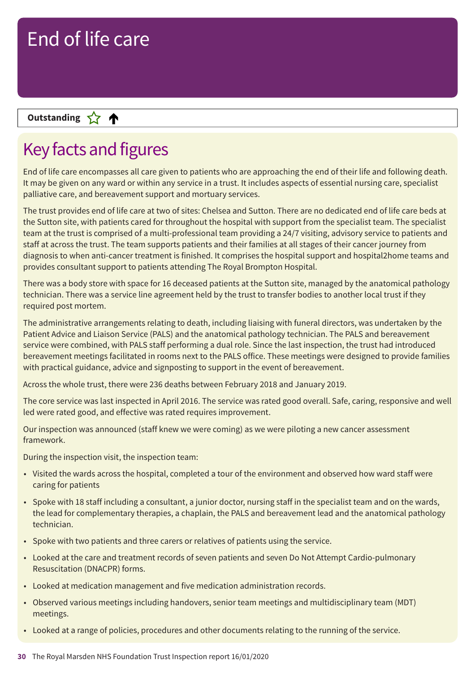### **Letter Cone Extending**

# Key facts and figures

End of life care encompasses all care given to patients who are approaching the end of their life and following death. It may be given on any ward or within any service in a trust. It includes aspects of essential nursing care, specialist palliative care, and bereavement support and mortuary services.

The trust provides end of life care at two of sites: Chelsea and Sutton. There are no dedicated end of life care beds at the Sutton site, with patients cared for throughout the hospital with support from the specialist team. The specialist team at the trust is comprised of a multi-professional team providing a 24/7 visiting, advisory service to patients and staff at across the trust. The team supports patients and their families at all stages of their cancer journey from diagnosis to when anti-cancer treatment is finished. It comprises the hospital support and hospital2home teams and provides consultant support to patients attending The Royal Brompton Hospital.

There was a body store with space for 16 deceased patients at the Sutton site, managed by the anatomical pathology technician. There was a service line agreement held by the trust to transfer bodies to another local trust if they required post mortem.

The administrative arrangements relating to death, including liaising with funeral directors, was undertaken by the Patient Advice and Liaison Service (PALS) and the anatomical pathology technician. The PALS and bereavement service were combined, with PALS staff performing a dual role. Since the last inspection, the trust had introduced bereavement meetings facilitated in rooms next to the PALS office. These meetings were designed to provide families with practical guidance, advice and signposting to support in the event of bereavement.

Across the whole trust, there were 236 deaths between February 2018 and January 2019.

The core service was last inspected in April 2016. The service was rated good overall. Safe, caring, responsive and well led were rated good, and effective was rated requires improvement.

Our inspection was announced (staff knew we were coming) as we were piloting a new cancer assessment framework.

During the inspection visit, the inspection team:

- Visited the wards across the hospital, completed a tour of the environment and observed how ward staff were caring for patients
- Spoke with 18 staff including a consultant, a junior doctor, nursing staff in the specialist team and on the wards, the lead for complementary therapies, a chaplain, the PALS and bereavement lead and the anatomical pathology technician.
- Spoke with two patients and three carers or relatives of patients using the service.
- Looked at the care and treatment records of seven patients and seven Do Not Attempt Cardio-pulmonary Resuscitation (DNACPR) forms.
- Looked at medication management and five medication administration records.
- Observed various meetings including handovers, senior team meetings and multidisciplinary team (MDT) meetings.
- Looked at a range of policies, procedures and other documents relating to the running of the service.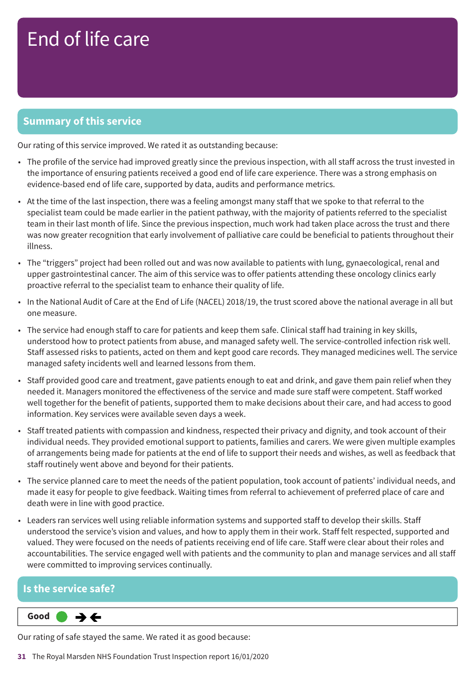### **Summary of this service**

Our rating of this service improved. We rated it as outstanding because:

- The profile of the service had improved greatly since the previous inspection, with all staff across the trust invested in the importance of ensuring patients received a good end of life care experience. There was a strong emphasis on evidence-based end of life care, supported by data, audits and performance metrics.
- At the time of the last inspection, there was a feeling amongst many staff that we spoke to that referral to the specialist team could be made earlier in the patient pathway, with the majority of patients referred to the specialist team in their last month of life. Since the previous inspection, much work had taken place across the trust and there was now greater recognition that early involvement of palliative care could be beneficial to patients throughout their illness.
- The "triggers" project had been rolled out and was now available to patients with lung, gynaecological, renal and upper gastrointestinal cancer. The aim of this service was to offer patients attending these oncology clinics early proactive referral to the specialist team to enhance their quality of life.
- In the National Audit of Care at the End of Life (NACEL) 2018/19, the trust scored above the national average in all but one measure.
- The service had enough staff to care for patients and keep them safe. Clinical staff had training in key skills, understood how to protect patients from abuse, and managed safety well. The service-controlled infection risk well. Staff assessed risks to patients, acted on them and kept good care records. They managed medicines well. The service managed safety incidents well and learned lessons from them.
- Staff provided good care and treatment, gave patients enough to eat and drink, and gave them pain relief when they needed it. Managers monitored the effectiveness of the service and made sure staff were competent. Staff worked well together for the benefit of patients, supported them to make decisions about their care, and had access to good information. Key services were available seven days a week.
- Staff treated patients with compassion and kindness, respected their privacy and dignity, and took account of their individual needs. They provided emotional support to patients, families and carers. We were given multiple examples of arrangements being made for patients at the end of life to support their needs and wishes, as well as feedback that staff routinely went above and beyond for their patients.
- The service planned care to meet the needs of the patient population, took account of patients' individual needs, and made it easy for people to give feedback. Waiting times from referral to achievement of preferred place of care and death were in line with good practice.
- Leaders ran services well using reliable information systems and supported staff to develop their skills. Staff understood the service's vision and values, and how to apply them in their work. Staff felt respected, supported and valued. They were focused on the needs of patients receiving end of life care. Staff were clear about their roles and accountabilities. The service engaged well with patients and the community to plan and manage services and all staff were committed to improving services continually.

#### **Is the service safe?**

**Same–––rating Good –––**  $\rightarrow$   $\leftarrow$ 

Our rating of safe stayed the same. We rated it as good because:

**31** The Royal Marsden NHS Foundation Trust Inspection report 16/01/2020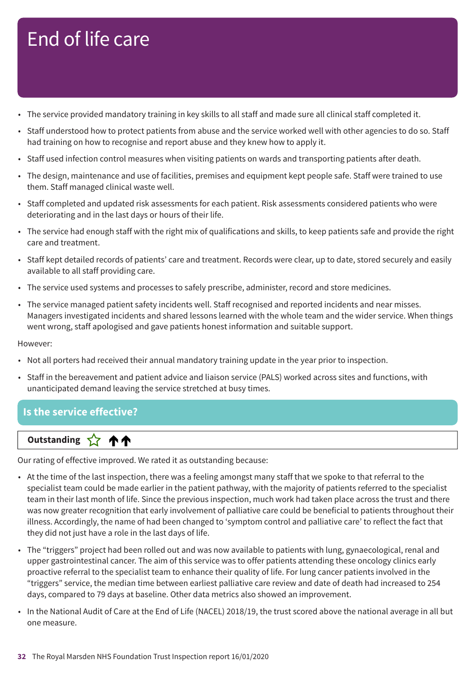- The service provided mandatory training in key skills to all staff and made sure all clinical staff completed it.
- Staff understood how to protect patients from abuse and the service worked well with other agencies to do so. Staff had training on how to recognise and report abuse and they knew how to apply it.
- Staff used infection control measures when visiting patients on wards and transporting patients after death.
- The design, maintenance and use of facilities, premises and equipment kept people safe. Staff were trained to use them. Staff managed clinical waste well.
- Staff completed and updated risk assessments for each patient. Risk assessments considered patients who were deteriorating and in the last days or hours of their life.
- The service had enough staff with the right mix of qualifications and skills, to keep patients safe and provide the right care and treatment.
- Staff kept detailed records of patients' care and treatment. Records were clear, up to date, stored securely and easily available to all staff providing care.
- The service used systems and processes to safely prescribe, administer, record and store medicines.
- The service managed patient safety incidents well. Staff recognised and reported incidents and near misses. Managers investigated incidents and shared lessons learned with the whole team and the wider service. When things went wrong, staff apologised and gave patients honest information and suitable support.

#### However:

- Not all porters had received their annual mandatory training update in the year prior to inspection.
- Staff in the bereavement and patient advice and liaison service (PALS) worked across sites and functions, with unanticipated demand leaving the service stretched at busy times.

### **Is the service effective?**

### **Up––– two ratings Outstanding**

Our rating of effective improved. We rated it as outstanding because:

- At the time of the last inspection, there was a feeling amongst many staff that we spoke to that referral to the specialist team could be made earlier in the patient pathway, with the majority of patients referred to the specialist team in their last month of life. Since the previous inspection, much work had taken place across the trust and there was now greater recognition that early involvement of palliative care could be beneficial to patients throughout their illness. Accordingly, the name of had been changed to 'symptom control and palliative care' to reflect the fact that they did not just have a role in the last days of life.
- The "triggers" project had been rolled out and was now available to patients with lung, gynaecological, renal and upper gastrointestinal cancer. The aim of this service was to offer patients attending these oncology clinics early proactive referral to the specialist team to enhance their quality of life. For lung cancer patients involved in the "triggers" service, the median time between earliest palliative care review and date of death had increased to 254 days, compared to 79 days at baseline. Other data metrics also showed an improvement.
- In the National Audit of Care at the End of Life (NACEL) 2018/19, the trust scored above the national average in all but one measure.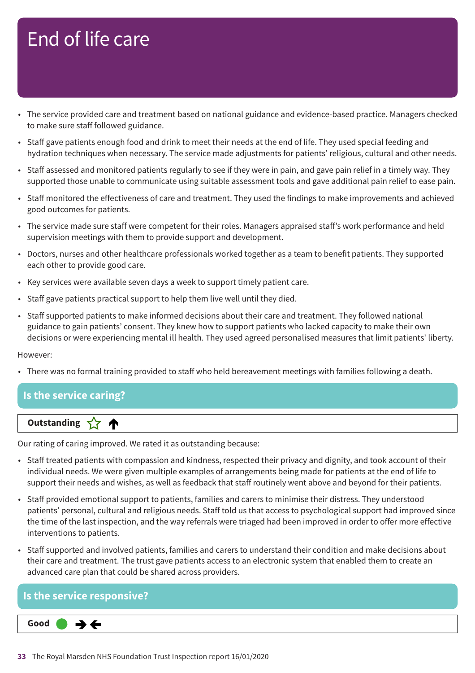- The service provided care and treatment based on national guidance and evidence-based practice. Managers checked to make sure staff followed guidance.
- Staff gave patients enough food and drink to meet their needs at the end of life. They used special feeding and hydration techniques when necessary. The service made adjustments for patients' religious, cultural and other needs.
- Staff assessed and monitored patients regularly to see if they were in pain, and gave pain relief in a timely way. They supported those unable to communicate using suitable assessment tools and gave additional pain relief to ease pain.
- Staff monitored the effectiveness of care and treatment. They used the findings to make improvements and achieved good outcomes for patients.
- The service made sure staff were competent for their roles. Managers appraised staff's work performance and held supervision meetings with them to provide support and development.
- Doctors, nurses and other healthcare professionals worked together as a team to benefit patients. They supported each other to provide good care.
- Key services were available seven days a week to support timely patient care.
- Staff gave patients practical support to help them live well until they died.
- Staff supported patients to make informed decisions about their care and treatment. They followed national guidance to gain patients' consent. They knew how to support patients who lacked capacity to make their own decisions or were experiencing mental ill health. They used agreed personalised measures that limit patients' liberty.

However:

• There was no formal training provided to staff who held bereavement meetings with families following a death.

#### **Is the service caring?**

### **Letter Cone Extending**

Our rating of caring improved. We rated it as outstanding because:

- Staff treated patients with compassion and kindness, respected their privacy and dignity, and took account of their individual needs. We were given multiple examples of arrangements being made for patients at the end of life to support their needs and wishes, as well as feedback that staff routinely went above and beyond for their patients.
- Staff provided emotional support to patients, families and carers to minimise their distress. They understood patients' personal, cultural and religious needs. Staff told us that access to psychological support had improved since the time of the last inspection, and the way referrals were triaged had been improved in order to offer more effective interventions to patients.
- Staff supported and involved patients, families and carers to understand their condition and make decisions about their care and treatment. The trust gave patients access to an electronic system that enabled them to create an advanced care plan that could be shared across providers.

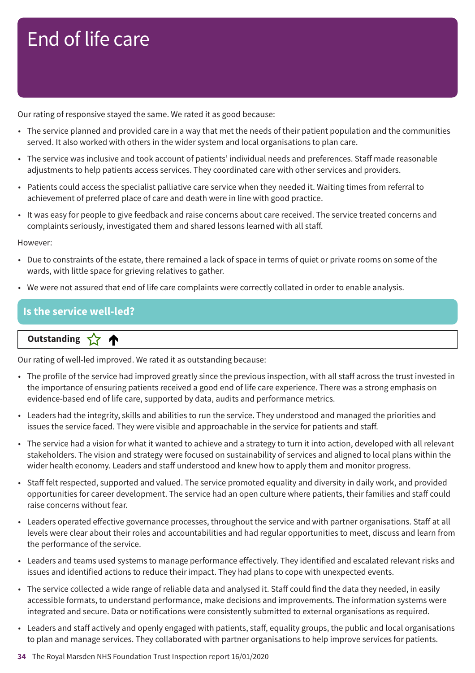Our rating of responsive stayed the same. We rated it as good because:

- The service planned and provided care in a way that met the needs of their patient population and the communities served. It also worked with others in the wider system and local organisations to plan care.
- The service was inclusive and took account of patients' individual needs and preferences. Staff made reasonable adjustments to help patients access services. They coordinated care with other services and providers.
- Patients could access the specialist palliative care service when they needed it. Waiting times from referral to achievement of preferred place of care and death were in line with good practice.
- It was easy for people to give feedback and raise concerns about care received. The service treated concerns and complaints seriously, investigated them and shared lessons learned with all staff.

However:

- Due to constraints of the estate, there remained a lack of space in terms of quiet or private rooms on some of the wards, with little space for grieving relatives to gather.
- We were not assured that end of life care complaints were correctly collated in order to enable analysis.

#### **Is the service well-led?**

**Letter Cone Extending** 

Our rating of well-led improved. We rated it as outstanding because:

- The profile of the service had improved greatly since the previous inspection, with all staff across the trust invested in the importance of ensuring patients received a good end of life care experience. There was a strong emphasis on evidence-based end of life care, supported by data, audits and performance metrics.
- Leaders had the integrity, skills and abilities to run the service. They understood and managed the priorities and issues the service faced. They were visible and approachable in the service for patients and staff.
- The service had a vision for what it wanted to achieve and a strategy to turn it into action, developed with all relevant stakeholders. The vision and strategy were focused on sustainability of services and aligned to local plans within the wider health economy. Leaders and staff understood and knew how to apply them and monitor progress.
- Staff felt respected, supported and valued. The service promoted equality and diversity in daily work, and provided opportunities for career development. The service had an open culture where patients, their families and staff could raise concerns without fear.
- Leaders operated effective governance processes, throughout the service and with partner organisations. Staff at all levels were clear about their roles and accountabilities and had regular opportunities to meet, discuss and learn from the performance of the service.
- Leaders and teams used systems to manage performance effectively. They identified and escalated relevant risks and issues and identified actions to reduce their impact. They had plans to cope with unexpected events.
- The service collected a wide range of reliable data and analysed it. Staff could find the data they needed, in easily accessible formats, to understand performance, make decisions and improvements. The information systems were integrated and secure. Data or notifications were consistently submitted to external organisations as required.
- Leaders and staff actively and openly engaged with patients, staff, equality groups, the public and local organisations to plan and manage services. They collaborated with partner organisations to help improve services for patients.
- **34** The Royal Marsden NHS Foundation Trust Inspection report 16/01/2020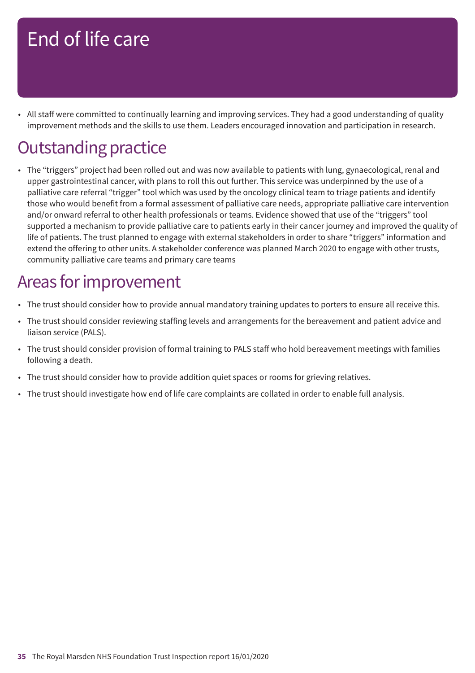• All staff were committed to continually learning and improving services. They had a good understanding of quality improvement methods and the skills to use them. Leaders encouraged innovation and participation in research.

# **Outstanding practice**

• The "triggers" project had been rolled out and was now available to patients with lung, gynaecological, renal and upper gastrointestinal cancer, with plans to roll this out further. This service was underpinned by the use of a palliative care referral "trigger" tool which was used by the oncology clinical team to triage patients and identify those who would benefit from a formal assessment of palliative care needs, appropriate palliative care intervention and/or onward referral to other health professionals or teams. Evidence showed that use of the "triggers" tool supported a mechanism to provide palliative care to patients early in their cancer journey and improved the quality of life of patients. The trust planned to engage with external stakeholders in order to share "triggers" information and extend the offering to other units. A stakeholder conference was planned March 2020 to engage with other trusts, community palliative care teams and primary care teams

### Areas for improvement

- The trust should consider how to provide annual mandatory training updates to porters to ensure all receive this.
- The trust should consider reviewing staffing levels and arrangements for the bereavement and patient advice and liaison service (PALS).
- The trust should consider provision of formal training to PALS staff who hold bereavement meetings with families following a death.
- The trust should consider how to provide addition quiet spaces or rooms for grieving relatives.
- The trust should investigate how end of life care complaints are collated in order to enable full analysis.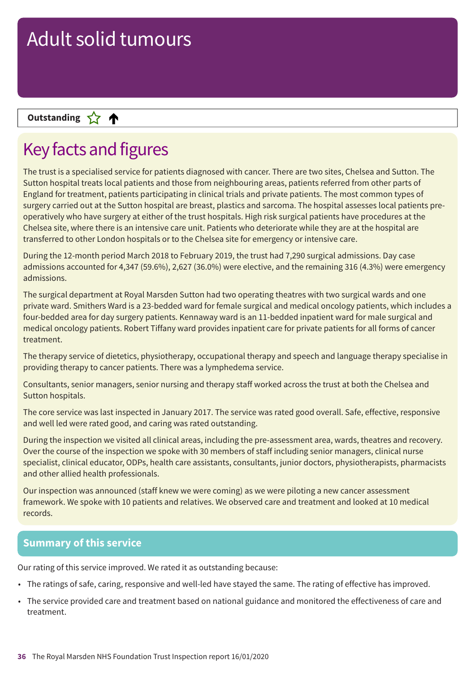### **Letter Cone Extending**

# Key facts and figures

The trust is a specialised service for patients diagnosed with cancer. There are two sites, Chelsea and Sutton. The Sutton hospital treats local patients and those from neighbouring areas, patients referred from other parts of England for treatment, patients participating in clinical trials and private patients. The most common types of surgery carried out at the Sutton hospital are breast, plastics and sarcoma. The hospital assesses local patients preoperatively who have surgery at either of the trust hospitals. High risk surgical patients have procedures at the Chelsea site, where there is an intensive care unit. Patients who deteriorate while they are at the hospital are transferred to other London hospitals or to the Chelsea site for emergency or intensive care.

During the 12-month period March 2018 to February 2019, the trust had 7,290 surgical admissions. Day case admissions accounted for 4,347 (59.6%), 2,627 (36.0%) were elective, and the remaining 316 (4.3%) were emergency admissions.

The surgical department at Royal Marsden Sutton had two operating theatres with two surgical wards and one private ward. Smithers Ward is a 23-bedded ward for female surgical and medical oncology patients, which includes a four-bedded area for day surgery patients. Kennaway ward is an 11-bedded inpatient ward for male surgical and medical oncology patients. Robert Tiffany ward provides inpatient care for private patients for all forms of cancer treatment.

The therapy service of dietetics, physiotherapy, occupational therapy and speech and language therapy specialise in providing therapy to cancer patients. There was a lymphedema service.

Consultants, senior managers, senior nursing and therapy staff worked across the trust at both the Chelsea and Sutton hospitals.

The core service was last inspected in January 2017. The service was rated good overall. Safe, effective, responsive and well led were rated good, and caring was rated outstanding.

During the inspection we visited all clinical areas, including the pre-assessment area, wards, theatres and recovery. Over the course of the inspection we spoke with 30 members of staff including senior managers, clinical nurse specialist, clinical educator, ODPs, health care assistants, consultants, junior doctors, physiotherapists, pharmacists and other allied health professionals.

Our inspection was announced (staff knew we were coming) as we were piloting a new cancer assessment framework. We spoke with 10 patients and relatives. We observed care and treatment and looked at 10 medical records.

#### **Summary of this service**

Our rating of this service improved. We rated it as outstanding because:

- The ratings of safe, caring, responsive and well-led have stayed the same. The rating of effective has improved.
- The service provided care and treatment based on national guidance and monitored the effectiveness of care and treatment.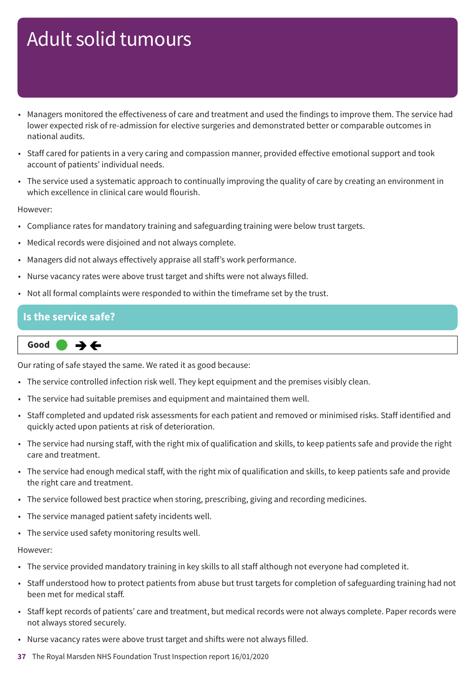- Managers monitored the effectiveness of care and treatment and used the findings to improve them. The service had lower expected risk of re-admission for elective surgeries and demonstrated better or comparable outcomes in national audits.
- Staff cared for patients in a very caring and compassion manner, provided effective emotional support and took account of patients' individual needs.
- The service used a systematic approach to continually improving the quality of care by creating an environment in which excellence in clinical care would flourish.

#### However:

- Compliance rates for mandatory training and safeguarding training were below trust targets.
- Medical records were disjoined and not always complete.
- Managers did not always effectively appraise all staff's work performance.
- Nurse vacancy rates were above trust target and shifts were not always filled.
- Not all formal complaints were responded to within the timeframe set by the trust.

#### **Is the service safe?**

$$
\fbox{Good} \qquad \Rightarrow \Leftrightarrow
$$

Our rating of safe stayed the same. We rated it as good because:

- The service controlled infection risk well. They kept equipment and the premises visibly clean.
- The service had suitable premises and equipment and maintained them well.
- Staff completed and updated risk assessments for each patient and removed or minimised risks. Staff identified and quickly acted upon patients at risk of deterioration.
- The service had nursing staff, with the right mix of qualification and skills, to keep patients safe and provide the right care and treatment.
- The service had enough medical staff, with the right mix of qualification and skills, to keep patients safe and provide the right care and treatment.
- The service followed best practice when storing, prescribing, giving and recording medicines.
- The service managed patient safety incidents well.
- The service used safety monitoring results well.

#### However:

- The service provided mandatory training in key skills to all staff although not everyone had completed it.
- Staff understood how to protect patients from abuse but trust targets for completion of safeguarding training had not been met for medical staff.
- Staff kept records of patients' care and treatment, but medical records were not always complete. Paper records were not always stored securely.
- Nurse vacancy rates were above trust target and shifts were not always filled.
- **37** The Royal Marsden NHS Foundation Trust Inspection report 16/01/2020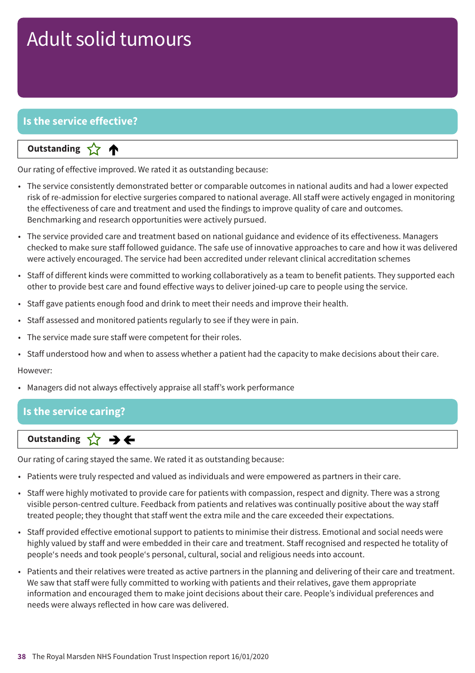### **Is the service effective?**

#### **Letter Cone Extending**

Our rating of effective improved. We rated it as outstanding because:

- The service consistently demonstrated better or comparable outcomes in national audits and had a lower expected risk of re-admission for elective surgeries compared to national average. All staff were actively engaged in monitoring the effectiveness of care and treatment and used the findings to improve quality of care and outcomes. Benchmarking and research opportunities were actively pursued.
- The service provided care and treatment based on national guidance and evidence of its effectiveness. Managers checked to make sure staff followed guidance. The safe use of innovative approaches to care and how it was delivered were actively encouraged. The service had been accredited under relevant clinical accreditation schemes
- Staff of different kinds were committed to working collaboratively as a team to benefit patients. They supported each other to provide best care and found effective ways to deliver joined-up care to people using the service.
- Staff gave patients enough food and drink to meet their needs and improve their health.
- Staff assessed and monitored patients regularly to see if they were in pain.
- The service made sure staff were competent for their roles.
- Staff understood how and when to assess whether a patient had the capacity to make decisions about their care.

#### However:

• Managers did not always effectively appraise all staff's work performance

#### **Is the service caring?**

### **Same–––rating Outstanding**

Our rating of caring stayed the same. We rated it as outstanding because:

- Patients were truly respected and valued as individuals and were empowered as partners in their care.
- Staff were highly motivated to provide care for patients with compassion, respect and dignity. There was a strong visible person-centred culture. Feedback from patients and relatives was continually positive about the way staff treated people; they thought that staff went the extra mile and the care exceeded their expectations.
- Staff provided effective emotional support to patients to minimise their distress. Emotional and social needs were highly valued by staff and were embedded in their care and treatment. Staff recognised and respected he totality of people's needs and took people's personal, cultural, social and religious needs into account.
- Patients and their relatives were treated as active partners in the planning and delivering of their care and treatment. We saw that staff were fully committed to working with patients and their relatives, gave them appropriate information and encouraged them to make joint decisions about their care. People's individual preferences and needs were always reflected in how care was delivered.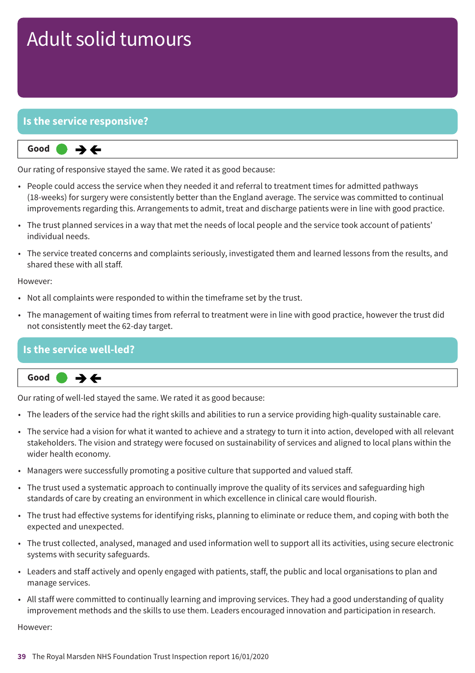#### **Is the service responsive?**



Our rating of responsive stayed the same. We rated it as good because:

- People could access the service when they needed it and referral to treatment times for admitted pathways (18-weeks) for surgery were consistently better than the England average. The service was committed to continual improvements regarding this. Arrangements to admit, treat and discharge patients were in line with good practice.
- The trust planned services in a way that met the needs of local people and the service took account of patients' individual needs.
- The service treated concerns and complaints seriously, investigated them and learned lessons from the results, and shared these with all staff.

However:

- Not all complaints were responded to within the timeframe set by the trust.
- The management of waiting times from referral to treatment were in line with good practice, however the trust did not consistently meet the 62-day target.

#### **Is the service well-led?**



Our rating of well-led stayed the same. We rated it as good because:

- The leaders of the service had the right skills and abilities to run a service providing high-quality sustainable care.
- The service had a vision for what it wanted to achieve and a strategy to turn it into action, developed with all relevant stakeholders. The vision and strategy were focused on sustainability of services and aligned to local plans within the wider health economy.
- Managers were successfully promoting a positive culture that supported and valued staff.
- The trust used a systematic approach to continually improve the quality of its services and safeguarding high standards of care by creating an environment in which excellence in clinical care would flourish.
- The trust had effective systems for identifying risks, planning to eliminate or reduce them, and coping with both the expected and unexpected.
- The trust collected, analysed, managed and used information well to support all its activities, using secure electronic systems with security safeguards.
- Leaders and staff actively and openly engaged with patients, staff, the public and local organisations to plan and manage services.
- All staff were committed to continually learning and improving services. They had a good understanding of quality improvement methods and the skills to use them. Leaders encouraged innovation and participation in research.

However: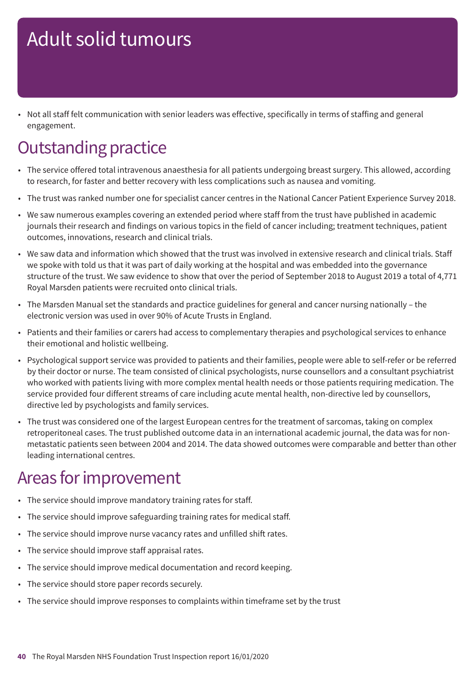• Not all staff felt communication with senior leaders was effective, specifically in terms of staffing and general engagement.

# **Outstanding practice**

- The service offered total intravenous anaesthesia for all patients undergoing breast surgery. This allowed, according to research, for faster and better recovery with less complications such as nausea and vomiting.
- The trust was ranked number one for specialist cancer centres in the National Cancer Patient Experience Survey 2018.
- We saw numerous examples covering an extended period where staff from the trust have published in academic journals their research and findings on various topics in the field of cancer including; treatment techniques, patient outcomes, innovations, research and clinical trials.
- We saw data and information which showed that the trust was involved in extensive research and clinical trials. Staff we spoke with told us that it was part of daily working at the hospital and was embedded into the governance structure of the trust. We saw evidence to show that over the period of September 2018 to August 2019 a total of 4,771 Royal Marsden patients were recruited onto clinical trials.
- The Marsden Manual set the standards and practice guidelines for general and cancer nursing nationally the electronic version was used in over 90% of Acute Trusts in England.
- Patients and their families or carers had access to complementary therapies and psychological services to enhance their emotional and holistic wellbeing.
- Psychological support service was provided to patients and their families, people were able to self-refer or be referred by their doctor or nurse. The team consisted of clinical psychologists, nurse counsellors and a consultant psychiatrist who worked with patients living with more complex mental health needs or those patients requiring medication. The service provided four different streams of care including acute mental health, non-directive led by counsellors, directive led by psychologists and family services.
- The trust was considered one of the largest European centres for the treatment of sarcomas, taking on complex retroperitoneal cases. The trust published outcome data in an international academic journal, the data was for nonmetastatic patients seen between 2004 and 2014. The data showed outcomes were comparable and better than other leading international centres.

# Areas for improvement

- The service should improve mandatory training rates for staff.
- The service should improve safeguarding training rates for medical staff.
- The service should improve nurse vacancy rates and unfilled shift rates.
- The service should improve staff appraisal rates.
- The service should improve medical documentation and record keeping.
- The service should store paper records securely.
- The service should improve responses to complaints within timeframe set by the trust